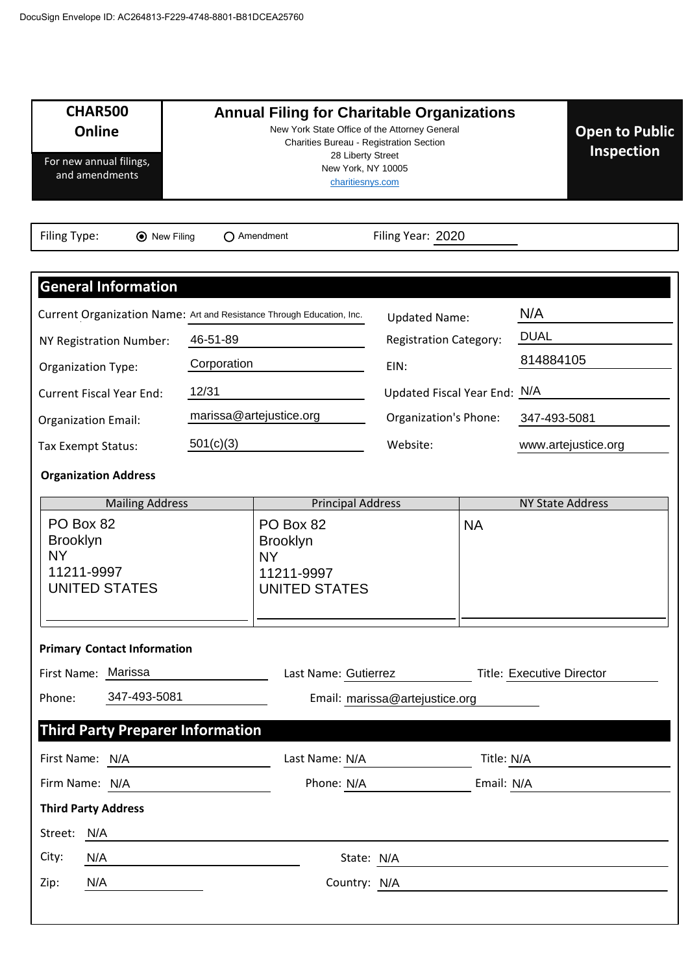| <b>CHAR500</b><br>Online<br>For new annual filings,<br>and amendments                               | <b>Annual Filing for Charitable Organizations</b> | <b>Open to Public</b><br>Inspection                                             |                                       |            |                                  |
|-----------------------------------------------------------------------------------------------------|---------------------------------------------------|---------------------------------------------------------------------------------|---------------------------------------|------------|----------------------------------|
| Filing Type:<br><b>⊙</b> New Filing                                                                 |                                                   | $\bigcap$ Amendment                                                             | Filing Year: 2020                     |            |                                  |
| <b>General Information</b><br>Current Organization Name: Art and Resistance Through Education, Inc. |                                                   |                                                                                 | <b>Updated Name:</b>                  |            | N/A<br><b>DUAL</b>               |
| NY Registration Number:<br><b>Organization Type:</b>                                                | 46-51-89<br>Corporation                           |                                                                                 | <b>Registration Category:</b><br>EIN: |            | 814884105                        |
| <b>Current Fiscal Year End:</b>                                                                     | 12/31                                             |                                                                                 | Updated Fiscal Year End: N/A          |            |                                  |
| <b>Organization Email:</b>                                                                          |                                                   | marissa@artejustice.org                                                         | <b>Organization's Phone:</b>          |            | 347-493-5081                     |
| Tax Exempt Status:                                                                                  | 501(c)(3)                                         |                                                                                 | Website:                              |            | www.artejustice.org              |
| <b>Organization Address</b>                                                                         |                                                   |                                                                                 |                                       |            |                                  |
| <b>Mailing Address</b>                                                                              |                                                   | <b>Principal Address</b>                                                        |                                       |            | <b>NY State Address</b>          |
| PO Box 82<br><b>Brooklyn</b><br><b>NY</b><br>11211-9997<br><b>UNITED STATES</b>                     |                                                   | PO Box 82<br><b>Brooklyn</b><br><b>NY</b><br>11211-9997<br><b>UNITED STATES</b> |                                       | <b>NA</b>  |                                  |
| <b>Primary Contact Information</b>                                                                  |                                                   |                                                                                 |                                       |            |                                  |
| First Name: Marissa                                                                                 |                                                   | Last Name: Gutierrez                                                            |                                       |            | <b>Title: Executive Director</b> |
| 347-493-5081<br>Phone:                                                                              |                                                   |                                                                                 | Email: marissa@artejustice.org        |            |                                  |
| <b>Third Party Preparer Information</b>                                                             |                                                   |                                                                                 |                                       |            |                                  |
| First Name: N/A                                                                                     |                                                   | Last Name: N/A                                                                  |                                       | Title: N/A |                                  |
| Firm Name: N/A                                                                                      |                                                   | Phone: N/A                                                                      |                                       | Email: N/A |                                  |
| <b>Third Party Address</b>                                                                          |                                                   |                                                                                 |                                       |            |                                  |
| N/A<br>Street:                                                                                      |                                                   |                                                                                 |                                       |            |                                  |
| City:<br>N/A<br>N/A                                                                                 |                                                   | Country: N/A                                                                    | State: N/A                            |            |                                  |
| Zip:                                                                                                |                                                   |                                                                                 |                                       |            |                                  |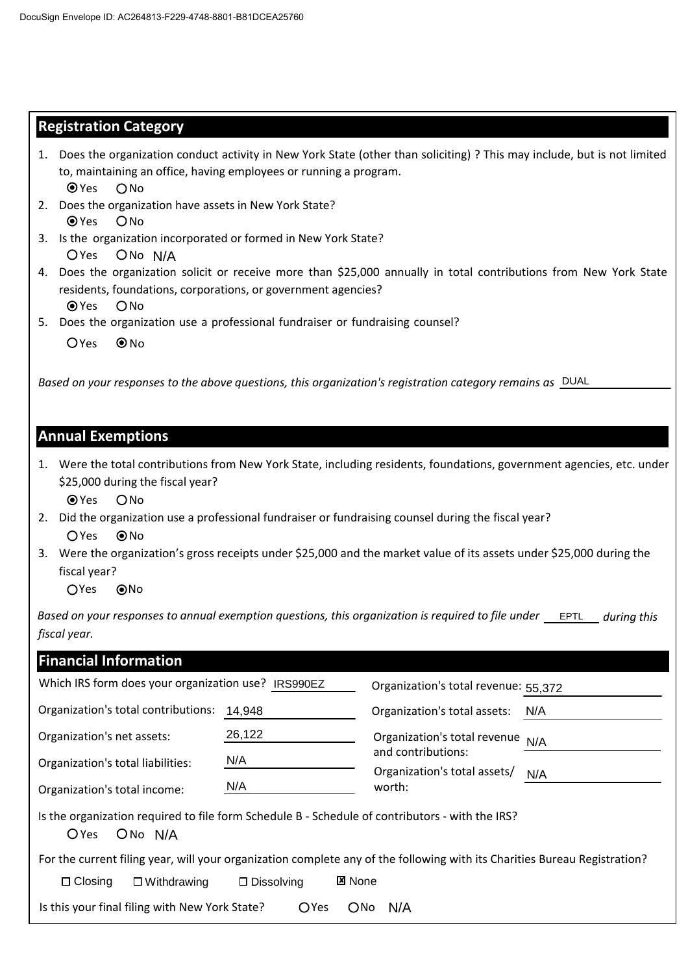## **Registration Category**

| 1. Does the organization conduct activity in New York State (other than soliciting)? This may include, but is not limited |  |
|---------------------------------------------------------------------------------------------------------------------------|--|
| to, maintaining an office, having employees or running a program.                                                         |  |
| $\bullet$ Yes<br><b>ONO</b>                                                                                               |  |

- 2. Does the organization have assets in New York State? OYes ONo
- OYes ONo N/A 3. Is the organization incorporated or formed in New York State?
- 4. Does the organization solicit or receive more than \$25,000 annually in total contributions from New York State residents, foundations, corporations, or government agencies? O Yes O No N/A<br>ation solicit or receive more than \$25,000 annually in total contributions from N<br>ions, corporations, or government agencies?<br>tion use a professional fundraiser or fundraising counsel?<br>es to the above auestions, this o
- 5. Does the organization use a professional fundraiser or fundraising counsel?
	- $OYes$   $@No$

*Based on your responses to the above questions, this organization's registration category remains as*

## **Annual Exemptions**

1. Were the total contributions from New York State, including residents, foundations, government agencies, etc. under \$25,000 during the fiscal year?

OYes ONo

- 2. Did the organization use a professional fundraiser or fundraising counsel during the fiscal year? OYes ONo
- 3. Were the organization's gross receipts under \$25,000 and the market value of its assets under \$25,000 during the fiscal year?

OYes ONo

Based on your responses to annual exemption questions, this organization is required to file under <u>FPTL during</u> this *fiscal year.*

| <b>Financial Information</b>                                                                                                           |                                       |                                        |     |
|----------------------------------------------------------------------------------------------------------------------------------------|---------------------------------------|----------------------------------------|-----|
| Which IRS form does your organization use? IRS990EZ                                                                                    |                                       | Organization's total revenue: 55,372   |     |
| Organization's total contributions:                                                                                                    | 14,948                                | Organization's total assets:           | N/A |
| Organization's net assets:                                                                                                             | 26,122                                | Organization's total revenue           | N/A |
| N/A<br>Organization's total liabilities:                                                                                               |                                       | and contributions:                     |     |
| Organization's total income:                                                                                                           | N/A                                   | Organization's total assets/<br>worth: | N/A |
| Is the organization required to file form Schedule B - Schedule of contributors - with the IRS?<br>ON <sub>o</sub> N/A<br><b>O</b> Yes |                                       |                                        |     |
| For the current filing year, will your organization complete any of the following with its Charities Bureau Registration?              |                                       |                                        |     |
| $\Box$ Closing<br>$\square$ Withdrawing                                                                                                | <b>⊠</b> None<br>$\square$ Dissolving |                                        |     |
| Is this your final filing with New York State?                                                                                         | <b>O</b> Yes<br>ONo                   | N/A                                    |     |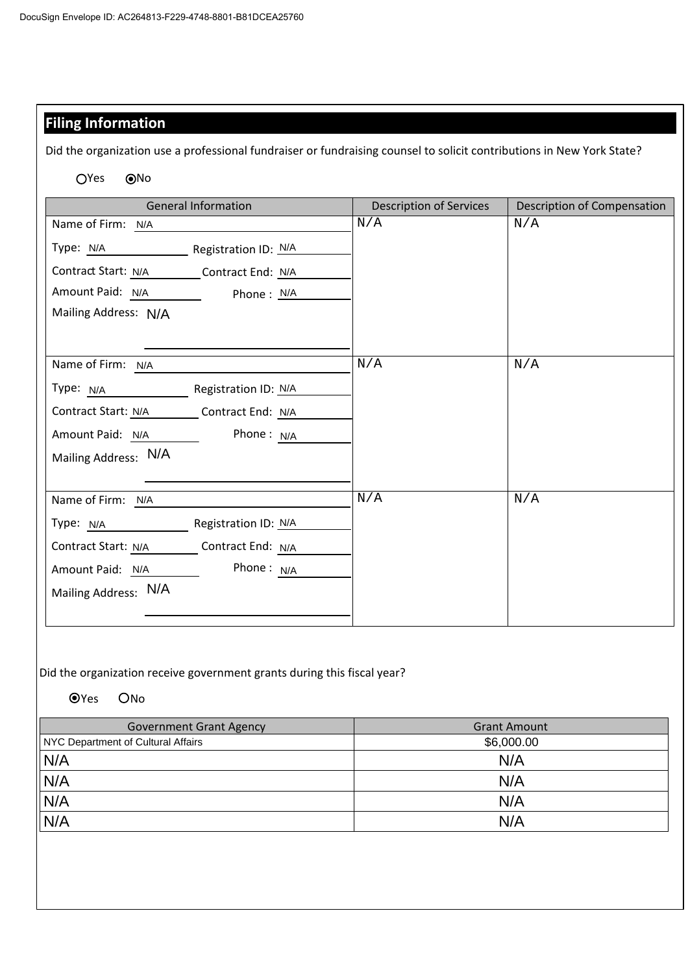# **Filing Information**

Did the organization use a professional fundraiser or fundraising counsel to solicit contributions in New York State?

OYes <sup>ONo</sup>

| <b>General Information</b>            | Description of Services | Description of Compensation |
|---------------------------------------|-------------------------|-----------------------------|
| Name of Firm: N/A                     | N/A                     | N/A                         |
| Type: N/A Registration ID: N/A        |                         |                             |
| Contract Start: N/A Contract End: N/A |                         |                             |
| Amount Paid: N/A ______<br>Phone: N/A |                         |                             |
| Mailing Address: N/A                  |                         |                             |
|                                       |                         |                             |
| Name of Firm: N/A                     | N/A                     | N/A                         |
| Registration ID: N/A                  |                         |                             |
| Contract Start: N/A Contract End: N/A |                         |                             |
| Phone: N/A<br>Amount Paid: N/A        |                         |                             |
| Mailing Address: N/A                  |                         |                             |
|                                       |                         |                             |
| Name of Firm: N/A                     | N/A                     | N/A                         |
| Registration ID: N/A<br>Type: N/A     |                         |                             |
| Contract Start: N/A Contract End: N/A |                         |                             |
| Phone: $N/A$<br>Amount Paid: N/A      |                         |                             |
| Mailing Address: N/A                  |                         |                             |
|                                       |                         |                             |

Did the organization receive government grants during this fiscal year?

OYes ONo

| <b>Government Grant Agency</b>     | <b>Grant Amount</b> |
|------------------------------------|---------------------|
| NYC Department of Cultural Affairs | \$6,000.00          |
| N/A                                | N/A                 |
| N/A                                | N/A                 |
| N/A                                | N/A                 |
| N/A                                | N/A                 |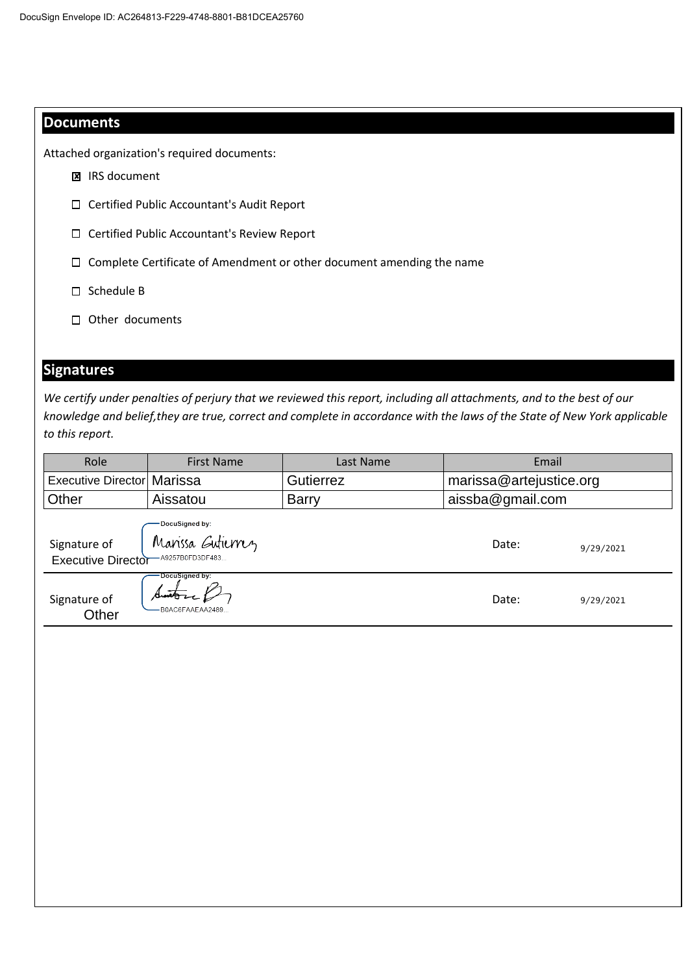# **Documents**

Attached organization's required documents:

- **E** IRS document
- Certified Public Accountant's Audit Report
- Certified Public Accountant's Review Report
- Complete Certificate of Amendment or other document amending the name
- $\square$  Schedule B
- □ Other documents

# **Signatures**

| <b>IRS document</b><br>⊠                                                                                                                 |                                                         |                                                                                                                           |                         |           |  |  |  |
|------------------------------------------------------------------------------------------------------------------------------------------|---------------------------------------------------------|---------------------------------------------------------------------------------------------------------------------------|-------------------------|-----------|--|--|--|
| $\Box$                                                                                                                                   | Certified Public Accountant's Audit Report              |                                                                                                                           |                         |           |  |  |  |
| $\Box$                                                                                                                                   | Certified Public Accountant's Review Report             |                                                                                                                           |                         |           |  |  |  |
| 0                                                                                                                                        |                                                         | Complete Certificate of Amendment or other document amending the name                                                     |                         |           |  |  |  |
| Schedule B<br>□                                                                                                                          |                                                         |                                                                                                                           |                         |           |  |  |  |
| Other documents<br>П                                                                                                                     |                                                         |                                                                                                                           |                         |           |  |  |  |
|                                                                                                                                          |                                                         |                                                                                                                           |                         |           |  |  |  |
| <b>Signatures</b>                                                                                                                        |                                                         |                                                                                                                           |                         |           |  |  |  |
|                                                                                                                                          |                                                         |                                                                                                                           |                         |           |  |  |  |
| We certify under penalties of perjury that we reviewed this report, including all attachments, and to the best of our<br>to this report. |                                                         | knowledge and belief, they are true, correct and complete in accordance with the laws of the State of New York applicable |                         |           |  |  |  |
| Role                                                                                                                                     | <b>First Name</b>                                       | Last Name                                                                                                                 | Email                   |           |  |  |  |
| Executive Director Marissa                                                                                                               |                                                         | Gutierrez                                                                                                                 | marissa@artejustice.org |           |  |  |  |
| Other                                                                                                                                    | Aissatou                                                | <b>Barry</b>                                                                                                              | aissba@gmail.com        |           |  |  |  |
| Signature of<br><b>Executive Director</b>                                                                                                | DocuSigned by:<br>Marissa Gutierrez<br>-A9257B0FD3DF483 |                                                                                                                           | Date:                   | 9/29/2021 |  |  |  |
| Signature of<br>Other                                                                                                                    | DocuSigned by<br>B0AC6FAAEAA2489.                       |                                                                                                                           | Date:                   | 9/29/2021 |  |  |  |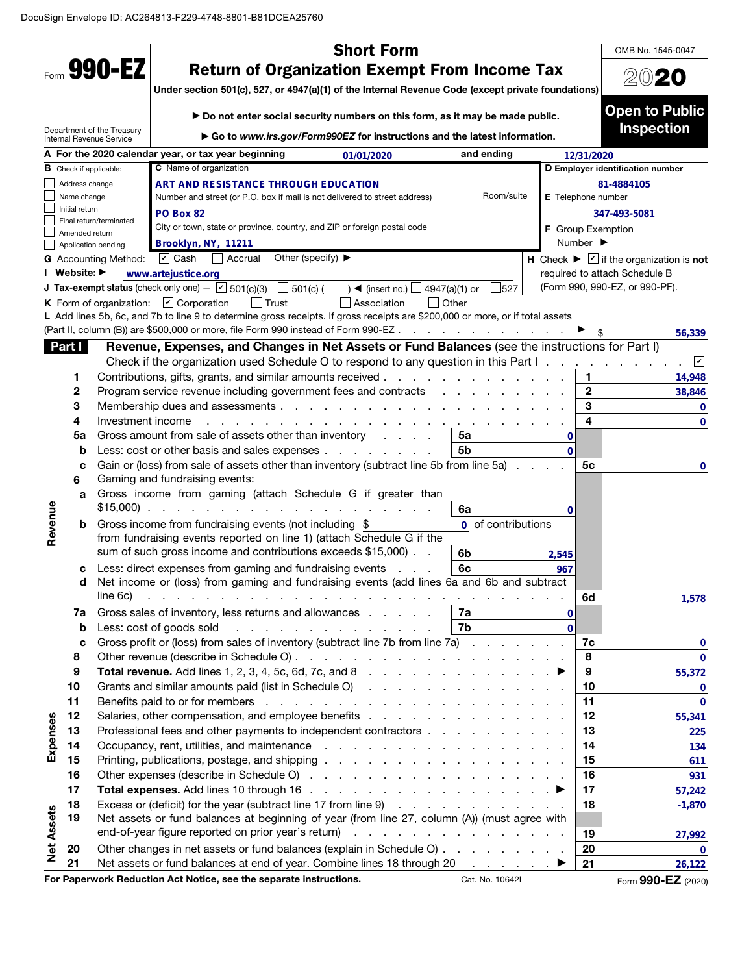|                   |                |                               |                                                                                                                               | <b>Short Form</b>                                                            |               |                                |                    |                              | OMB No. 1545-0047                                                                                    |
|-------------------|----------------|-------------------------------|-------------------------------------------------------------------------------------------------------------------------------|------------------------------------------------------------------------------|---------------|--------------------------------|--------------------|------------------------------|------------------------------------------------------------------------------------------------------|
|                   |                | Form 990-EZ                   |                                                                                                                               | <b>Return of Organization Exempt From Income Tax</b>                         |               |                                |                    |                              |                                                                                                      |
|                   |                |                               | Under section 501(c), 527, or 4947(a)(1) of the Internal Revenue Code (except private foundations)                            |                                                                              |               |                                |                    |                              | 2020                                                                                                 |
|                   |                |                               |                                                                                                                               | Do not enter social security numbers on this form, as it may be made public. |               |                                |                    |                              | <b>Open to Public</b>                                                                                |
|                   |                | Department of the Treasury    |                                                                                                                               | Go to www.irs.gov/Form990EZ for instructions and the latest information.     |               |                                |                    |                              | <b>Inspection</b>                                                                                    |
|                   |                | Internal Revenue Service      |                                                                                                                               |                                                                              | and ending    |                                |                    |                              |                                                                                                      |
|                   |                | <b>B</b> Check if applicable: | A For the 2020 calendar year, or tax year beginning<br>C Name of organization                                                 | 01/01/2020                                                                   |               |                                |                    | 12/31/2020                   | D Emplover identification number                                                                     |
|                   | Address change |                               | ART AND RESISTANCE THROUGH EDUCATION                                                                                          |                                                                              |               |                                |                    |                              | 81-4884105                                                                                           |
|                   | Name change    |                               | Number and street (or P.O. box if mail is not delivered to street address)                                                    |                                                                              |               | Room/suite                     | E Telephone number |                              |                                                                                                      |
|                   | Initial return |                               | <b>PO Box 82</b>                                                                                                              |                                                                              |               |                                |                    |                              | 347-493-5081                                                                                         |
|                   |                | Final return/terminated       | City or town, state or province, country, and ZIP or foreign postal code                                                      |                                                                              |               |                                | F Group Exemption  |                              |                                                                                                      |
|                   | Amended return | Application pending           | Brooklyn, NY, 11211                                                                                                           |                                                                              |               |                                |                    | Number $\blacktriangleright$ |                                                                                                      |
|                   |                | G Accounting Method: [ Cash   | Accrual                                                                                                                       | Other (specify) $\blacktriangleright$                                        |               |                                |                    |                              | $\overline{H}$ Check $\blacktriangleright \overline{\blacktriangleright}$ if the organization is not |
|                   | I Website: ▶   |                               | www.artejustice.org                                                                                                           |                                                                              |               |                                |                    |                              | required to attach Schedule B                                                                        |
|                   |                |                               | <b>J Tax-exempt status</b> (check only one) - $\boxed{\text{C}}$ 501(c)(3)                                                    | $\Box$ 501(c) (<br>) ◀ (insert no.) $\Box$ 4947(a)(1) or                     |               | 527                            |                    |                              | (Form 990, 990-EZ, or 990-PF).                                                                       |
|                   |                |                               | <b>K</b> Form of organization: $\boxed{\mathbf{v}}$ Corporation<br>$\vert$ Trust                                              | Association                                                                  | $\vert$ Other |                                |                    |                              |                                                                                                      |
|                   |                |                               | L Add lines 5b, 6c, and 7b to line 9 to determine gross receipts. If gross receipts are \$200,000 or more, or if total assets |                                                                              |               |                                |                    |                              |                                                                                                      |
|                   |                |                               | (Part II, column (B)) are \$500,000 or more, file Form 990 instead of Form 990-EZ                                             |                                                                              |               |                                |                    |                              | 56,339                                                                                               |
|                   | Part I         |                               | Revenue, Expenses, and Changes in Net Assets or Fund Balances (see the instructions for Part I)                               |                                                                              |               |                                |                    |                              |                                                                                                      |
|                   |                |                               | Check if the organization used Schedule O to respond to any question in this Part $1 \ldots \ldots \ldots$                    |                                                                              |               |                                |                    |                              |                                                                                                      |
|                   | 1              |                               | Contributions, gifts, grants, and similar amounts received                                                                    |                                                                              |               |                                |                    | 1                            | 14,948                                                                                               |
|                   | $\mathbf{2}$   |                               | Program service revenue including government fees and contracts                                                               |                                                                              |               |                                |                    | $\mathbf{2}$                 | 38,846                                                                                               |
|                   | 3              |                               |                                                                                                                               |                                                                              |               |                                |                    | 3                            | $\mathbf 0$                                                                                          |
|                   | 4              | Investment income             |                                                                                                                               |                                                                              |               |                                |                    | 4                            | $\mathbf{0}$                                                                                         |
|                   | 5a             |                               | Gross amount from sale of assets other than inventory                                                                         |                                                                              | 5а            |                                | 0                  |                              |                                                                                                      |
|                   | b              |                               | Less: cost or other basis and sales expenses                                                                                  |                                                                              | 5b            |                                | $\Omega$           |                              |                                                                                                      |
|                   | c              |                               | Gain or (loss) from sale of assets other than inventory (subtract line 5b from line 5a)                                       |                                                                              |               |                                |                    | 5с                           | $\mathbf 0$                                                                                          |
|                   | 6              |                               | Gaming and fundraising events:                                                                                                |                                                                              |               |                                |                    |                              |                                                                                                      |
|                   | a              |                               | Gross income from gaming (attach Schedule G if greater than<br>$$15,000$                                                      |                                                                              | 6a            |                                | 0                  |                              |                                                                                                      |
| Revenue           | b              |                               | Gross income from fundraising events (not including \$                                                                        |                                                                              |               | 0 of contributions             |                    |                              |                                                                                                      |
|                   |                |                               | from fundraising events reported on line 1) (attach Schedule G if the                                                         |                                                                              |               |                                |                    |                              |                                                                                                      |
|                   |                |                               | sum of such gross income and contributions exceeds \$15,000).                                                                 |                                                                              | 6b            |                                | 2,545              |                              |                                                                                                      |
|                   | с              |                               | Less: direct expenses from gaming and fundraising events                                                                      |                                                                              | 6с            |                                | 967                |                              |                                                                                                      |
|                   |                |                               | Net income or (loss) from gaming and fundraising events (add lines 6a and 6b and subtract                                     |                                                                              |               |                                |                    |                              |                                                                                                      |
|                   |                | line 6c)                      | the contract of the contract of the contract of the contract of the contract of                                               |                                                                              |               |                                |                    | 6d                           | 1,578                                                                                                |
|                   | 7a             |                               | Gross sales of inventory, less returns and allowances                                                                         |                                                                              | 7а            |                                | 0                  |                              |                                                                                                      |
|                   | $\mathbf b$    |                               | Less: cost of goods sold                                                                                                      | المنافر والمنافر والمنافر والمنافر والمنافر والمنافر                         | 7b            |                                | $\mathbf{0}$       |                              |                                                                                                      |
|                   | c              |                               | Gross profit or (loss) from sales of inventory (subtract line 7b from line 7a)                                                |                                                                              |               |                                |                    | 7c                           | 0                                                                                                    |
|                   | 8              |                               |                                                                                                                               |                                                                              |               |                                |                    | 8                            | $\mathbf 0$                                                                                          |
|                   | 9              |                               |                                                                                                                               |                                                                              |               |                                |                    | 9                            | 55,372                                                                                               |
|                   | 10             |                               | Grants and similar amounts paid (list in Schedule O)                                                                          |                                                                              |               |                                |                    | 10                           | 0                                                                                                    |
|                   | 11             |                               |                                                                                                                               |                                                                              |               |                                |                    | 11                           | $\mathbf 0$                                                                                          |
| Expenses          | 12             |                               |                                                                                                                               |                                                                              |               |                                |                    | 12                           | 55,341                                                                                               |
|                   | 13             |                               | Professional fees and other payments to independent contractors                                                               |                                                                              |               |                                |                    | 13                           | 225                                                                                                  |
|                   | 14             |                               |                                                                                                                               |                                                                              |               |                                |                    | 14                           | 134                                                                                                  |
|                   | 15             |                               |                                                                                                                               |                                                                              |               |                                |                    | 15                           | 611                                                                                                  |
|                   | 16             |                               |                                                                                                                               |                                                                              |               |                                |                    | 16                           | 931                                                                                                  |
|                   | 17<br>18       |                               | Excess or (deficit) for the year (subtract line 17 from line 9)                                                               |                                                                              |               |                                |                    | 17<br>18                     | 57,242                                                                                               |
|                   | 19             |                               | Net assets or fund balances at beginning of year (from line 27, column (A)) (must agree with                                  |                                                                              |               |                                |                    |                              | $-1,870$                                                                                             |
| <b>Net Assets</b> |                |                               | end-of-year figure reported on prior year's return)                                                                           | and the contract of the contract of the contract of                          |               |                                |                    | 19                           |                                                                                                      |
|                   | 20             |                               | Other changes in net assets or fund balances (explain in Schedule O)                                                          |                                                                              |               |                                |                    | 20                           | 27,992<br>0                                                                                          |
|                   | 21             |                               | Net assets or fund balances at end of year. Combine lines 18 through 20                                                       |                                                                              |               | $\ldots$ $\blacktriangleright$ |                    | 21                           | 26,122                                                                                               |
|                   |                |                               | For Paperwork Reduction Act Notice, see the separate instructions.                                                            |                                                                              |               | Cat. No. 10642I                |                    |                              | Form 990-EZ (2020)                                                                                   |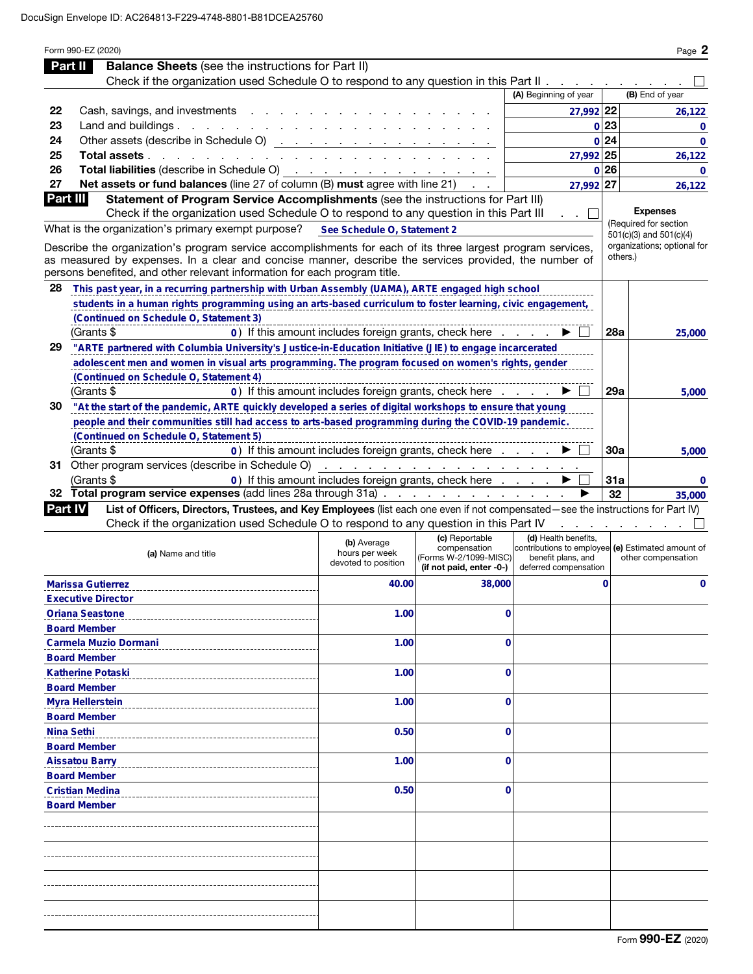|                | Form 990-EZ (2020)                                                                                                                                                                                            |                                                                                                                                                                                                                                |                                       |                                                                         |            | Page 2                                   |
|----------------|---------------------------------------------------------------------------------------------------------------------------------------------------------------------------------------------------------------|--------------------------------------------------------------------------------------------------------------------------------------------------------------------------------------------------------------------------------|---------------------------------------|-------------------------------------------------------------------------|------------|------------------------------------------|
|                | <b>Balance Sheets</b> (see the instructions for Part II)<br><b>Part II</b>                                                                                                                                    |                                                                                                                                                                                                                                |                                       |                                                                         |            |                                          |
|                | Check if the organization used Schedule O to respond to any question in this Part II                                                                                                                          |                                                                                                                                                                                                                                |                                       |                                                                         |            |                                          |
|                |                                                                                                                                                                                                               |                                                                                                                                                                                                                                |                                       | (A) Beginning of year                                                   |            | (B) End of year                          |
| 22             | Cash, savings, and investments                                                                                                                                                                                |                                                                                                                                                                                                                                |                                       | 27,992 22                                                               |            | 26,122                                   |
| 23             | Land and buildings.                                                                                                                                                                                           |                                                                                                                                                                                                                                |                                       |                                                                         | 0 23       | 0                                        |
| 24             | Other assets (describe in Schedule O)                                                                                                                                                                         |                                                                                                                                                                                                                                |                                       | $\mathbf{0}$                                                            | 24         | $\mathbf 0$                              |
| 25             | Total assets                                                                                                                                                                                                  | and the company of the company of the company of the company of the company of the company of the company of the company of the company of the company of the company of the company of the company of the company of the comp |                                       | 27,992 25                                                               |            | 26,122                                   |
| 26             | Total liabilities (describe in Schedule O) <u>.</u>                                                                                                                                                           |                                                                                                                                                                                                                                |                                       | $\mathbf 0$                                                             | 26         | $\Omega$                                 |
| 27             | Net assets or fund balances (line 27 of column (B) must agree with line 21)                                                                                                                                   |                                                                                                                                                                                                                                |                                       | 27,992 27                                                               |            | 26,122                                   |
| Part III       | Statement of Program Service Accomplishments (see the instructions for Part III)                                                                                                                              |                                                                                                                                                                                                                                |                                       |                                                                         |            |                                          |
|                | Check if the organization used Schedule O to respond to any question in this Part III                                                                                                                         |                                                                                                                                                                                                                                |                                       | $\mathcal{L}^{\text{max}}$                                              |            | <b>Expenses</b><br>(Required for section |
|                | What is the organization's primary exempt purpose?                                                                                                                                                            | See Schedule O, Statement 2                                                                                                                                                                                                    |                                       |                                                                         |            | $501(c)(3)$ and $501(c)(4)$              |
|                | Describe the organization's program service accomplishments for each of its three largest program services,                                                                                                   |                                                                                                                                                                                                                                |                                       |                                                                         |            | organizations; optional for              |
|                | as measured by expenses. In a clear and concise manner, describe the services provided, the number of<br>persons benefited, and other relevant information for each program title.                            |                                                                                                                                                                                                                                |                                       |                                                                         |            | others.)                                 |
|                |                                                                                                                                                                                                               |                                                                                                                                                                                                                                |                                       |                                                                         |            |                                          |
| 28             | This past year, in a recurring partnership with Urban Assembly (UAMA), ARTE engaged high school                                                                                                               |                                                                                                                                                                                                                                |                                       |                                                                         |            |                                          |
|                | students in a human rights programming using an arts-based curriculum to foster learning, civic engagement,                                                                                                   |                                                                                                                                                                                                                                |                                       |                                                                         |            |                                          |
|                | (Continued on Schedule O, Statement 3)<br>(Grants \$                                                                                                                                                          | 0) If this amount includes foreign grants, check here                                                                                                                                                                          |                                       |                                                                         | <b>28a</b> |                                          |
| 29             |                                                                                                                                                                                                               |                                                                                                                                                                                                                                |                                       |                                                                         |            | 25,000                                   |
|                | "ARTE partnered with Columbia University's Justice-in-Education Initiative (JIE) to engage incarcerated<br>adolescent men and women in visual arts programming. The program focused on women's rights, gender |                                                                                                                                                                                                                                |                                       |                                                                         |            |                                          |
|                | (Continued on Schedule O, Statement 4)                                                                                                                                                                        |                                                                                                                                                                                                                                |                                       |                                                                         |            |                                          |
|                | (Grants \$                                                                                                                                                                                                    | 0) If this amount includes foreign grants, check here                                                                                                                                                                          |                                       |                                                                         | 29a        | 5,000                                    |
| 30             | "At the start of the pandemic, ARTE quickly developed a series of digital workshops to ensure that young                                                                                                      |                                                                                                                                                                                                                                |                                       |                                                                         |            |                                          |
|                | people and their communities still had access to arts-based programming during the COVID-19 pandemic.                                                                                                         |                                                                                                                                                                                                                                |                                       |                                                                         |            |                                          |
|                | (Continued on Schedule O, Statement 5)                                                                                                                                                                        |                                                                                                                                                                                                                                |                                       |                                                                         |            |                                          |
|                | (Grants \$                                                                                                                                                                                                    | 0) If this amount includes foreign grants, check here                                                                                                                                                                          |                                       |                                                                         | 30a        | 5,000                                    |
| 31             |                                                                                                                                                                                                               |                                                                                                                                                                                                                                |                                       |                                                                         |            |                                          |
|                | (Grants \$                                                                                                                                                                                                    | 0) If this amount includes foreign grants, check here                                                                                                                                                                          |                                       |                                                                         | 31a        | 0                                        |
|                |                                                                                                                                                                                                               |                                                                                                                                                                                                                                |                                       |                                                                         |            |                                          |
|                | 32 Total program service expenses (add lines 28a through 31a)                                                                                                                                                 |                                                                                                                                                                                                                                |                                       |                                                                         | 32         | 35,000                                   |
| <b>Part IV</b> | List of Officers, Directors, Trustees, and Key Employees (list each one even if not compensated-see the instructions for Part IV)                                                                             |                                                                                                                                                                                                                                |                                       |                                                                         |            |                                          |
|                | Check if the organization used Schedule O to respond to any question in this Part IV                                                                                                                          |                                                                                                                                                                                                                                |                                       |                                                                         |            |                                          |
|                |                                                                                                                                                                                                               | (b) Average                                                                                                                                                                                                                    | (c) Reportable                        | (d) Health benefits,                                                    |            |                                          |
|                | (a) Name and title                                                                                                                                                                                            | hours per week                                                                                                                                                                                                                 | compensation<br>(Forms W-2/1099-MISC) | contributions to employee (e) Estimated amount of<br>benefit plans, and |            | other compensation                       |
|                |                                                                                                                                                                                                               | devoted to position                                                                                                                                                                                                            | (if not paid, enter -0-)              | deferred compensation                                                   |            |                                          |
|                | <b>Marissa Gutierrez</b>                                                                                                                                                                                      | 40.00                                                                                                                                                                                                                          | 38,000                                |                                                                         | 0          | 0                                        |
|                | <b>Executive Director</b>                                                                                                                                                                                     |                                                                                                                                                                                                                                |                                       |                                                                         |            |                                          |
|                | <b>Oriana Seastone</b>                                                                                                                                                                                        | 1.00                                                                                                                                                                                                                           | 0                                     |                                                                         |            |                                          |
|                | <b>Board Member</b>                                                                                                                                                                                           |                                                                                                                                                                                                                                |                                       |                                                                         |            |                                          |
|                | Carmela Muzio Dormani                                                                                                                                                                                         | 1.00                                                                                                                                                                                                                           | 0                                     |                                                                         |            |                                          |
|                | <b>Board Member</b>                                                                                                                                                                                           |                                                                                                                                                                                                                                |                                       |                                                                         |            |                                          |
|                | <b>Katherine Potaski</b>                                                                                                                                                                                      | 1.00                                                                                                                                                                                                                           | 0                                     |                                                                         |            |                                          |
|                | <b>Board Member</b>                                                                                                                                                                                           |                                                                                                                                                                                                                                |                                       |                                                                         |            |                                          |
|                | <b>Myra Hellerstein</b>                                                                                                                                                                                       | 1.00                                                                                                                                                                                                                           | 0                                     |                                                                         |            |                                          |
|                | <b>Board Member</b>                                                                                                                                                                                           |                                                                                                                                                                                                                                |                                       |                                                                         |            |                                          |
|                | Nina Sethi                                                                                                                                                                                                    | 0.50                                                                                                                                                                                                                           | 0                                     |                                                                         |            |                                          |
|                | <b>Board Member</b>                                                                                                                                                                                           |                                                                                                                                                                                                                                |                                       |                                                                         |            |                                          |
|                | <b>Aissatou Barry</b>                                                                                                                                                                                         | 1.00                                                                                                                                                                                                                           | 0                                     |                                                                         |            |                                          |
|                | <b>Board Member</b>                                                                                                                                                                                           |                                                                                                                                                                                                                                | 0                                     |                                                                         |            |                                          |
|                | <b>Cristian Medina</b>                                                                                                                                                                                        | 0.50                                                                                                                                                                                                                           |                                       |                                                                         |            |                                          |
|                | <b>Board Member</b>                                                                                                                                                                                           |                                                                                                                                                                                                                                |                                       |                                                                         |            |                                          |
|                |                                                                                                                                                                                                               |                                                                                                                                                                                                                                |                                       |                                                                         |            |                                          |
|                |                                                                                                                                                                                                               |                                                                                                                                                                                                                                |                                       |                                                                         |            |                                          |
|                |                                                                                                                                                                                                               |                                                                                                                                                                                                                                |                                       |                                                                         |            |                                          |
|                |                                                                                                                                                                                                               |                                                                                                                                                                                                                                |                                       |                                                                         |            |                                          |
|                |                                                                                                                                                                                                               |                                                                                                                                                                                                                                |                                       |                                                                         |            |                                          |
|                |                                                                                                                                                                                                               |                                                                                                                                                                                                                                |                                       |                                                                         |            |                                          |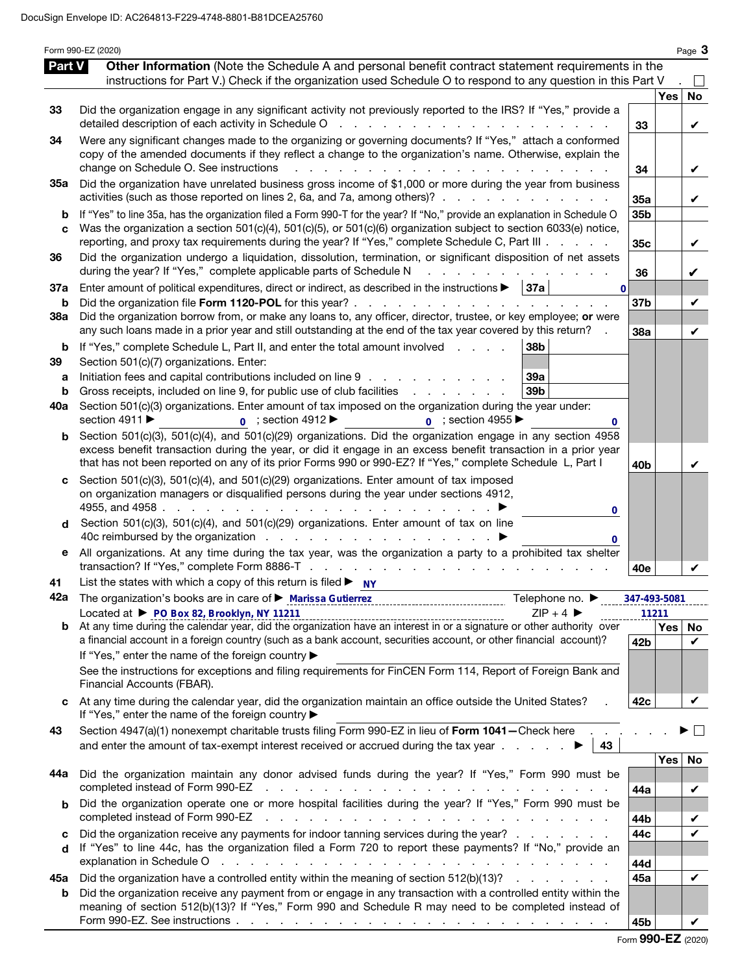|          | Form 990-EZ (2020)                                                                                                                                                                                                                                                                                                                                                      |                 |                     | Page 3    |
|----------|-------------------------------------------------------------------------------------------------------------------------------------------------------------------------------------------------------------------------------------------------------------------------------------------------------------------------------------------------------------------------|-----------------|---------------------|-----------|
| Part V   | Other Information (Note the Schedule A and personal benefit contract statement requirements in the<br>instructions for Part V.) Check if the organization used Schedule O to respond to any question in this Part V                                                                                                                                                     |                 |                     |           |
| 33       | Did the organization engage in any significant activity not previously reported to the IRS? If "Yes," provide a<br>detailed description of each activity in Schedule O                                                                                                                                                                                                  |                 | <b>Yes</b>          | <b>No</b> |
| 34       | Were any significant changes made to the organizing or governing documents? If "Yes," attach a conformed<br>copy of the amended documents if they reflect a change to the organization's name. Otherwise, explain the<br>change on Schedule O. See instructions<br>$\mathbf{L}^{\text{max}}$<br>and the contract of the con-<br><b>Contract Contract</b>                | 33<br>34        |                     | V<br>V    |
| 35a      | Did the organization have unrelated business gross income of \$1,000 or more during the year from business<br>activities (such as those reported on lines 2, 6a, and 7a, among others)?                                                                                                                                                                                 | 35a             |                     | V         |
| b<br>C   | If "Yes" to line 35a, has the organization filed a Form 990-T for the year? If "No," provide an explanation in Schedule O<br>Was the organization a section 501(c)(4), 501(c)(5), or 501(c)(6) organization subject to section 6033(e) notice,<br>reporting, and proxy tax requirements during the year? If "Yes," complete Schedule C, Part III                        | 35b<br>35c      |                     | V         |
| 36       | Did the organization undergo a liquidation, dissolution, termination, or significant disposition of net assets<br>during the year? If "Yes," complete applicable parts of Schedule N                                                                                                                                                                                    | 36              |                     | V         |
| 37a<br>b | Enter amount of political expenditures, direct or indirect, as described in the instructions $\blacktriangleright$   37a<br>$\bf{0}$<br>Did the organization file Form 1120-POL for this year?                                                                                                                                                                          | 37 <sub>b</sub> |                     | V         |
| 38a      | Did the organization borrow from, or make any loans to, any officer, director, trustee, or key employee; or were<br>any such loans made in a prior year and still outstanding at the end of the tax year covered by this return?                                                                                                                                        | 38a             |                     | V         |
| b<br>39  | If "Yes," complete Schedule L, Part II, and enter the total amount involved<br>38b<br>Section 501(c)(7) organizations. Enter:                                                                                                                                                                                                                                           |                 |                     |           |
| а<br>b   | Initiation fees and capital contributions included on line 9<br>39a<br>Gross receipts, included on line 9, for public use of club facilities<br>39 <sub>b</sub>                                                                                                                                                                                                         |                 |                     |           |
| 40a      | Section 501(c)(3) organizations. Enter amount of tax imposed on the organization during the year under:<br>section 4911 ▶<br>$_0$ ; section 4912<br>$0$ ; section 4955<br>0                                                                                                                                                                                             |                 |                     |           |
| b        | Section 501(c)(3), 501(c)(4), and 501(c)(29) organizations. Did the organization engage in any section 4958<br>excess benefit transaction during the year, or did it engage in an excess benefit transaction in a prior year<br>that has not been reported on any of its prior Forms 990 or 990-EZ? If "Yes," complete Schedule L, Part I                               | 40 <sub>b</sub> |                     |           |
| c        | Section 501(c)(3), 501(c)(4), and 501(c)(29) organizations. Enter amount of tax imposed<br>on organization managers or disqualified persons during the year under sections 4912,<br>0                                                                                                                                                                                   |                 |                     |           |
| d        | Section 501(c)(3), 501(c)(4), and 501(c)(29) organizations. Enter amount of tax on line<br>0                                                                                                                                                                                                                                                                            |                 |                     |           |
| е        | All organizations. At any time during the tax year, was the organization a party to a prohibited tax shelter                                                                                                                                                                                                                                                            | 40e             |                     |           |
| 41       | List the states with which a copy of this return is filed $\triangleright$ NY                                                                                                                                                                                                                                                                                           |                 |                     |           |
| 42a      | The organization's books are in care of > Marissa Gutierrez [2010][2010][2010][2010][2010][2010][2010][2010][2010][<br>Telephone no. ▶<br>$ZIP + 4$                                                                                                                                                                                                                     |                 | 347-493-5081        |           |
|          | Located at ▶ PO Box 82, Brooklyn, NY 11211<br>a financial account in a foreign country (such as a bank account, securities account, or other financial account)?                                                                                                                                                                                                        | 42b             | 11211<br><b>Yes</b> | No<br>✓   |
|          | If "Yes," enter the name of the foreign country ▶<br>See the instructions for exceptions and filing requirements for FinCEN Form 114, Report of Foreign Bank and<br>Financial Accounts (FBAR).                                                                                                                                                                          |                 |                     |           |
| c        | At any time during the calendar year, did the organization maintain an office outside the United States?<br>If "Yes," enter the name of the foreign country ▶                                                                                                                                                                                                           | 42c             |                     | V         |
| 43       | Section 4947(a)(1) nonexempt charitable trusts filing Form 990-EZ in lieu of Form 1041-Check here<br>and enter the amount of tax-exempt interest received or accrued during the tax year $\ldots$<br>43                                                                                                                                                                 |                 |                     |           |
| 44а      | Did the organization maintain any donor advised funds during the year? If "Yes," Form 990 must be<br>completed instead of Form 990-EZ<br>and the contract of the contract of the contract of the contract of the contract of the contract of the contract of the contract of the contract of the contract of the contract of the contract of the contract of the contra | 44a             | Yes                 | No<br>V   |
| b        | Did the organization operate one or more hospital facilities during the year? If "Yes," Form 990 must be<br>completed instead of Form 990-EZ<br>والمتعاون والمتعاون والمتعاون والمتعاون والمتعاونة والمتعاونة والمتعاونة                                                                                                                                                | 44b             |                     | V         |
| с<br>d   | Did the organization receive any payments for indoor tanning services during the year?<br>If "Yes" to line 44c, has the organization filed a Form 720 to report these payments? If "No," provide an<br>explanation in Schedule O<br>والمتعاون والمتعاون والمتعاون والمتعاونة والمتعاونة والمتعاونة والمتعاونة والمتعاونة والمتعاونة                                     | 44c<br>44d      |                     | V         |
| 45а      | Did the organization have a controlled entity within the meaning of section 512(b)(13)?                                                                                                                                                                                                                                                                                 | 45a             |                     | V         |
| b        | Did the organization receive any payment from or engage in any transaction with a controlled entity within the<br>meaning of section 512(b)(13)? If "Yes," Form 990 and Schedule R may need to be completed instead of                                                                                                                                                  |                 |                     |           |
|          | Form 990-EZ. See instructions $\ldots$ $\ldots$ $\ldots$ $\ldots$ $\ldots$ $\ldots$ $\ldots$ $\ldots$ $\ldots$ $\ldots$ $\ldots$                                                                                                                                                                                                                                        | 45b             |                     | V         |

Form 990-EZ (2020)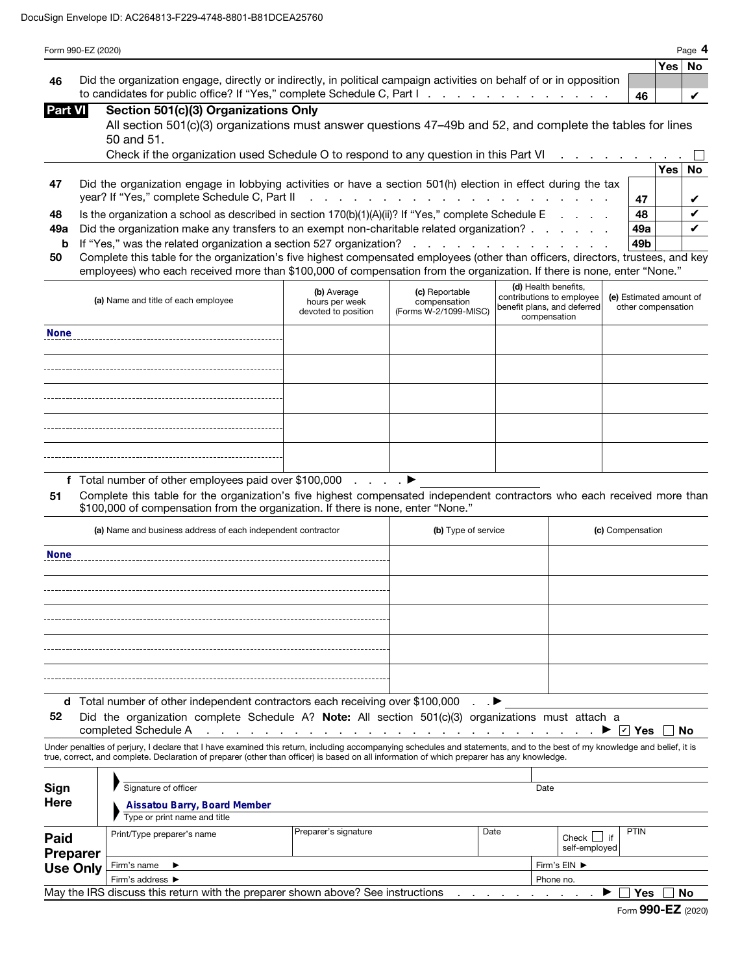|                | Form 990-EZ (2020)                                                                                                  |    |           | Page $4$ |
|----------------|---------------------------------------------------------------------------------------------------------------------|----|-----------|----------|
|                |                                                                                                                     |    | ˈYes   No |          |
| 46             | Did the organization engage, directly or indirectly, in political campaign activities on behalf of or in opposition |    |           |          |
|                |                                                                                                                     | 4F |           |          |
| <b>Part VI</b> | Section 501(c)(3) Organizations Only                                                                                |    |           |          |

| .          |  |                                                                                                            |
|------------|--|------------------------------------------------------------------------------------------------------------|
|            |  | All section 501(c)(3) organizations must answer questions 47–49b and 52, and complete the tables for lines |
| 50 and 51. |  |                                                                                                            |

|     | Check if the organization used Schedule O to respond to any question in this Part VI                          |     |     |    |
|-----|---------------------------------------------------------------------------------------------------------------|-----|-----|----|
|     |                                                                                                               |     | ∕es | No |
| 47  | Did the organization engage in lobbying activities or have a section 501(h) election in effect during the tax |     |     |    |
|     |                                                                                                               | -47 |     |    |
| 48  | Is the organization a school as described in section $170(b)(1)(A)(ii)$ ? If "Yes," complete Schedule E       | 48  |     |    |
| 49а | Did the organization make any transfers to an exempt non-charitable related organization?                     | 49a |     |    |
|     | <b>b</b> If "Yes," was the related organization a section 527 organization?                                   | 49b |     |    |

| 50 Complete this table for the organization's five highest compensated employees (other than officers, directors, trustees, and key |
|-------------------------------------------------------------------------------------------------------------------------------------|
| employees) who each received more than \$100,000 of compensation from the organization. If there is none, enter "None."             |

| 48          | Is the organization a school as described in section $170(b)(1)(A)(ii)$ ? If "Yes," complete Schedule E                                                                                                     |                                                      |                                                         |                                                                                                  | 48                 |                         |
|-------------|-------------------------------------------------------------------------------------------------------------------------------------------------------------------------------------------------------------|------------------------------------------------------|---------------------------------------------------------|--------------------------------------------------------------------------------------------------|--------------------|-------------------------|
| 49a         | Did the organization make any transfers to an exempt non-charitable related organization?                                                                                                                   |                                                      |                                                         |                                                                                                  | 49a                | ✓                       |
| b           |                                                                                                                                                                                                             |                                                      |                                                         |                                                                                                  | 49b                |                         |
| 50          | Complete this table for the organization's five highest compensated employees (other than officers, directors, trustees, and key                                                                            |                                                      |                                                         |                                                                                                  |                    |                         |
|             | employees) who each received more than \$100,000 of compensation from the organization. If there is none, enter "None."                                                                                     |                                                      |                                                         |                                                                                                  |                    |                         |
|             | (a) Name and title of each employee                                                                                                                                                                         | (b) Average<br>hours per week<br>devoted to position | (c) Reportable<br>compensation<br>(Forms W-2/1099-MISC) | (d) Health benefits,<br>contributions to employee<br>benefit plans, and deferred<br>compensation | other compensation | (e) Estimated amount of |
| <b>None</b> |                                                                                                                                                                                                             |                                                      |                                                         |                                                                                                  |                    |                         |
|             |                                                                                                                                                                                                             |                                                      |                                                         |                                                                                                  |                    |                         |
|             |                                                                                                                                                                                                             |                                                      |                                                         |                                                                                                  |                    |                         |
|             |                                                                                                                                                                                                             |                                                      |                                                         |                                                                                                  |                    |                         |
|             |                                                                                                                                                                                                             |                                                      |                                                         |                                                                                                  |                    |                         |
|             | <b>f</b> Total number of other employees paid over \$100,000 $\ldots$                                                                                                                                       |                                                      |                                                         |                                                                                                  |                    |                         |
| 51          | Complete this table for the organization's five highest compensated independent contractors who each received more than<br>\$100,000 of compensation from the organization. If there is none, enter "None." |                                                      |                                                         |                                                                                                  |                    |                         |
|             | (a) Name and business address of each independent contractor                                                                                                                                                |                                                      | (b) Type of service                                     |                                                                                                  | (c) Compensation   |                         |
| <b>None</b> |                                                                                                                                                                                                             |                                                      |                                                         |                                                                                                  |                    |                         |

| (a) Name and business address of each independent contractor                  | (b) Type of service | (c) Compensation |
|-------------------------------------------------------------------------------|---------------------|------------------|
| <b>None</b>                                                                   |                     |                  |
|                                                                               |                     |                  |
|                                                                               |                     |                  |
|                                                                               |                     |                  |
|                                                                               |                     |                  |
| d Total number of other independent contractors each receiving over \$100,000 | $\cdot$ $\cdot$     |                  |

52 Did the organization complete Schedule A? Note: All section 501(c)(3) organizations must attach a

completed Schedule A . . . . . . . . . . . . . . . . . . . . . . . . . . . ▶ Yes No ✔

Under penalties of perjury, I declare that I have examined this return, including accompanying schedules and statements, and to the best of my knowledge and belief, it is true, correct, and complete. Declaration of preparer (other than officer) is based on all information of which preparer has any knowledge.

| Sign<br>Here                                                                                 | Signature of officer<br><b>Aissatou Barry, Board Member</b> |                      |      | Date |                                 |             |  |
|----------------------------------------------------------------------------------------------|-------------------------------------------------------------|----------------------|------|------|---------------------------------|-------------|--|
|                                                                                              | Type or print name and title                                |                      |      |      |                                 |             |  |
| Paid<br><b>Preparer</b>                                                                      | Print/Type preparer's name                                  | Preparer's signature | Date |      | $Check$ $\Box$<br>self-employed | <b>PTIN</b> |  |
| <b>Use Only</b>                                                                              | Firm's name $\blacktriangleright$                           |                      |      |      | Firm's EIN ▶                    |             |  |
|                                                                                              | Firm's address ▶                                            |                      |      |      | Phone no.                       |             |  |
| May the IRS discuss this return with the preparer shown above? See instructions<br>Yes<br>No |                                                             |                      |      |      |                                 |             |  |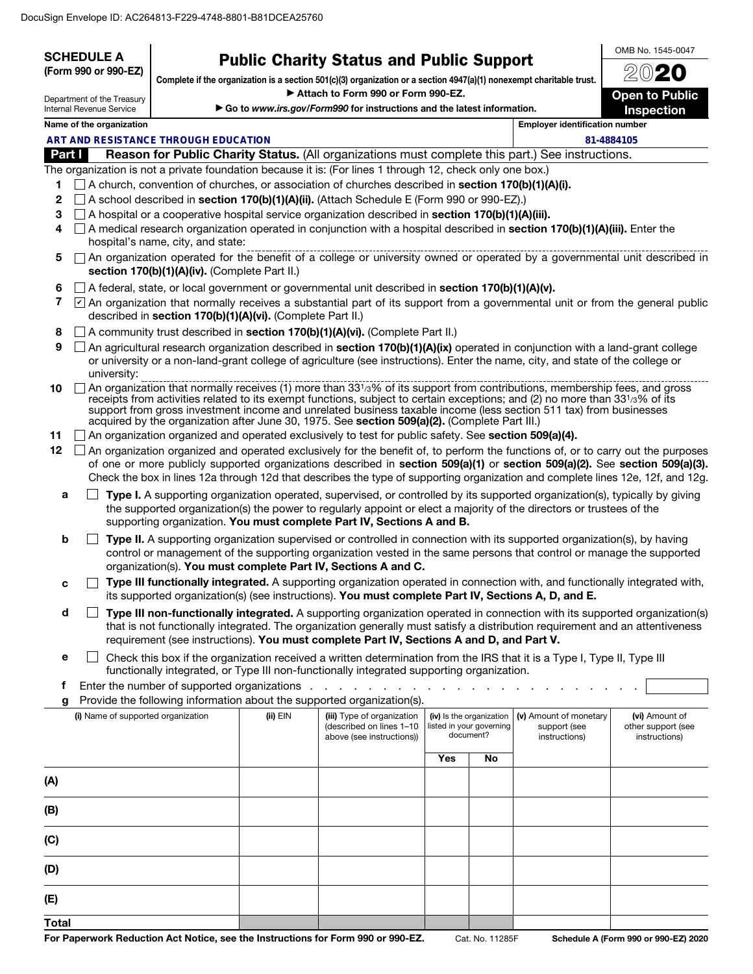|                                                                                                                                                                                                                                                                       |                                                                                                                                                                                                                                                                                                                                                            |                                                 |                                                            |  |                                                                                                                                                                                                                                                                                                                                                                                                           |                                                       |      |                                       | OMB No. 1545-0047                          |
|-----------------------------------------------------------------------------------------------------------------------------------------------------------------------------------------------------------------------------------------------------------------------|------------------------------------------------------------------------------------------------------------------------------------------------------------------------------------------------------------------------------------------------------------------------------------------------------------------------------------------------------------|-------------------------------------------------|------------------------------------------------------------|--|-----------------------------------------------------------------------------------------------------------------------------------------------------------------------------------------------------------------------------------------------------------------------------------------------------------------------------------------------------------------------------------------------------------|-------------------------------------------------------|------|---------------------------------------|--------------------------------------------|
| <b>SCHEDULE A</b><br>(Form 990 or 990-EZ)                                                                                                                                                                                                                             |                                                                                                                                                                                                                                                                                                                                                            | <b>Public Charity Status and Public Support</b> |                                                            |  |                                                                                                                                                                                                                                                                                                                                                                                                           |                                                       | 2020 |                                       |                                            |
|                                                                                                                                                                                                                                                                       |                                                                                                                                                                                                                                                                                                                                                            |                                                 |                                                            |  | Complete if the organization is a section 501(c)(3) organization or a section 4947(a)(1) nonexempt charitable trust.                                                                                                                                                                                                                                                                                      |                                                       |      |                                       |                                            |
|                                                                                                                                                                                                                                                                       | Department of the Treasury<br>Internal Revenue Service                                                                                                                                                                                                                                                                                                     |                                                 |                                                            |  | Attach to Form 990 or Form 990-EZ.<br>Go to www.irs.gov/Form990 for instructions and the latest information.                                                                                                                                                                                                                                                                                              |                                                       |      |                                       | <b>Open to Public</b><br><b>Inspection</b> |
|                                                                                                                                                                                                                                                                       | Name of the organization                                                                                                                                                                                                                                                                                                                                   |                                                 |                                                            |  |                                                                                                                                                                                                                                                                                                                                                                                                           |                                                       |      | <b>Employer identification number</b> |                                            |
|                                                                                                                                                                                                                                                                       |                                                                                                                                                                                                                                                                                                                                                            |                                                 | ART AND RESISTANCE THROUGH EDUCATION                       |  |                                                                                                                                                                                                                                                                                                                                                                                                           |                                                       |      |                                       | 81-4884105                                 |
| Part I                                                                                                                                                                                                                                                                |                                                                                                                                                                                                                                                                                                                                                            |                                                 |                                                            |  | Reason for Public Charity Status. (All organizations must complete this part.) See instructions.                                                                                                                                                                                                                                                                                                          |                                                       |      |                                       |                                            |
|                                                                                                                                                                                                                                                                       |                                                                                                                                                                                                                                                                                                                                                            |                                                 |                                                            |  | The organization is not a private foundation because it is: (For lines 1 through 12, check only one box.)                                                                                                                                                                                                                                                                                                 |                                                       |      |                                       |                                            |
| 1.<br>2                                                                                                                                                                                                                                                               |                                                                                                                                                                                                                                                                                                                                                            |                                                 |                                                            |  | $\Box$ A church, convention of churches, or association of churches described in <b>section 170(b)(1)(A)(i).</b><br>$\Box$ A school described in <b>section 170(b)(1)(A)(ii).</b> (Attach Schedule E (Form 990 or 990-EZ).)                                                                                                                                                                               |                                                       |      |                                       |                                            |
| 3                                                                                                                                                                                                                                                                     |                                                                                                                                                                                                                                                                                                                                                            |                                                 |                                                            |  | $\Box$ A hospital or a cooperative hospital service organization described in section 170(b)(1)(A)(iii).                                                                                                                                                                                                                                                                                                  |                                                       |      |                                       |                                            |
| 4                                                                                                                                                                                                                                                                     |                                                                                                                                                                                                                                                                                                                                                            |                                                 | hospital's name, city, and state:                          |  | $\Box$ A medical research organization operated in conjunction with a hospital described in section 170(b)(1)(A)(iii). Enter the                                                                                                                                                                                                                                                                          |                                                       |      |                                       |                                            |
| 5                                                                                                                                                                                                                                                                     |                                                                                                                                                                                                                                                                                                                                                            |                                                 | section 170(b)(1)(A)(iv). (Complete Part II.)              |  | □ An organization operated for the benefit of a college or university owned or operated by a governmental unit described in                                                                                                                                                                                                                                                                               |                                                       |      |                                       |                                            |
| 6                                                                                                                                                                                                                                                                     |                                                                                                                                                                                                                                                                                                                                                            |                                                 |                                                            |  | $\Box$ A federal, state, or local government or governmental unit described in section 170(b)(1)(A)(v).                                                                                                                                                                                                                                                                                                   |                                                       |      |                                       |                                            |
| 7                                                                                                                                                                                                                                                                     |                                                                                                                                                                                                                                                                                                                                                            |                                                 | described in section 170(b)(1)(A)(vi). (Complete Part II.) |  | An organization that normally receives a substantial part of its support from a governmental unit or from the general public                                                                                                                                                                                                                                                                              |                                                       |      |                                       |                                            |
| 8                                                                                                                                                                                                                                                                     |                                                                                                                                                                                                                                                                                                                                                            |                                                 |                                                            |  | A community trust described in section 170(b)(1)(A)(vi). (Complete Part II.)                                                                                                                                                                                                                                                                                                                              |                                                       |      |                                       |                                            |
| 9                                                                                                                                                                                                                                                                     | university:                                                                                                                                                                                                                                                                                                                                                |                                                 |                                                            |  | $\Box$ An agricultural research organization described in section 170(b)(1)(A)(ix) operated in conjunction with a land-grant college<br>or university or a non-land-grant college of agriculture (see instructions). Enter the name, city, and state of the college or                                                                                                                                    |                                                       |      |                                       |                                            |
| 10                                                                                                                                                                                                                                                                    |                                                                                                                                                                                                                                                                                                                                                            |                                                 |                                                            |  | An organization that normally receives (1) more than 33 <sup>1</sup> /3% of its support from contributions, membership fees, and gross                                                                                                                                                                                                                                                                    |                                                       |      |                                       |                                            |
|                                                                                                                                                                                                                                                                       |                                                                                                                                                                                                                                                                                                                                                            |                                                 |                                                            |  | receipts from activities related to its exempt functions, subject to certain exceptions; and (2) no more than 331/3% of its<br>support from gross investment income and unrelated business taxable income (less section 511 tax) from businesses<br>acquired by the organization after June 30, 1975. See section 509(a)(2). (Complete Part III.)                                                         |                                                       |      |                                       |                                            |
| 11                                                                                                                                                                                                                                                                    |                                                                                                                                                                                                                                                                                                                                                            |                                                 |                                                            |  | $\Box$ An organization organized and operated exclusively to test for public safety. See section 509(a)(4).                                                                                                                                                                                                                                                                                               |                                                       |      |                                       |                                            |
| 12                                                                                                                                                                                                                                                                    |                                                                                                                                                                                                                                                                                                                                                            |                                                 |                                                            |  | $\Box$ An organization organized and operated exclusively for the benefit of, to perform the functions of, or to carry out the purposes<br>of one or more publicly supported organizations described in section 509(a)(1) or section 509(a)(2). See section 509(a)(3).<br>Check the box in lines 12a through 12d that describes the type of supporting organization and complete lines 12e, 12f, and 12g. |                                                       |      |                                       |                                            |
| a                                                                                                                                                                                                                                                                     |                                                                                                                                                                                                                                                                                                                                                            |                                                 |                                                            |  | Type I. A supporting organization operated, supervised, or controlled by its supported organization(s), typically by giving<br>the supported organization(s) the power to regularly appoint or elect a majority of the directors or trustees of the<br>supporting organization. You must complete Part IV, Sections A and B.                                                                              |                                                       |      |                                       |                                            |
| b                                                                                                                                                                                                                                                                     |                                                                                                                                                                                                                                                                                                                                                            |                                                 |                                                            |  | Type II. A supporting organization supervised or controlled in connection with its supported organization(s), by having<br>control or management of the supporting organization vested in the same persons that control or manage the supported<br>organization(s). You must complete Part IV, Sections A and C.                                                                                          |                                                       |      |                                       |                                            |
| с                                                                                                                                                                                                                                                                     |                                                                                                                                                                                                                                                                                                                                                            |                                                 |                                                            |  | Type III functionally integrated. A supporting organization operated in connection with, and functionally integrated with,<br>its supported organization(s) (see instructions). You must complete Part IV, Sections A, D, and E.                                                                                                                                                                          |                                                       |      |                                       |                                            |
|                                                                                                                                                                                                                                                                       | Type III non-functionally integrated. A supporting organization operated in connection with its supported organization(s)<br>d<br>that is not functionally integrated. The organization generally must satisfy a distribution requirement and an attentiveness<br>requirement (see instructions). You must complete Part IV, Sections A and D, and Part V. |                                                 |                                                            |  |                                                                                                                                                                                                                                                                                                                                                                                                           |                                                       |      |                                       |                                            |
| е                                                                                                                                                                                                                                                                     |                                                                                                                                                                                                                                                                                                                                                            |                                                 |                                                            |  | Check this box if the organization received a written determination from the IRS that it is a Type I, Type II, Type III<br>functionally integrated, or Type III non-functionally integrated supporting organization.                                                                                                                                                                                      |                                                       |      |                                       |                                            |
| f                                                                                                                                                                                                                                                                     |                                                                                                                                                                                                                                                                                                                                                            |                                                 | Enter the number of supported organizations .              |  | design and a state of the state                                                                                                                                                                                                                                                                                                                                                                           |                                                       |      |                                       |                                            |
| g                                                                                                                                                                                                                                                                     |                                                                                                                                                                                                                                                                                                                                                            |                                                 |                                                            |  | Provide the following information about the supported organization(s).                                                                                                                                                                                                                                                                                                                                    |                                                       |      |                                       |                                            |
| (i) Name of supported organization<br>(ii) EIN<br>(iii) Type of organization<br>(iv) Is the organization<br>(v) Amount of monetary<br>(described on lines 1-10<br>listed in your governing<br>support (see<br>document?<br>above (see instructions))<br>instructions) |                                                                                                                                                                                                                                                                                                                                                            |                                                 |                                                            |  |                                                                                                                                                                                                                                                                                                                                                                                                           | (vi) Amount of<br>other support (see<br>instructions) |      |                                       |                                            |
| Yes<br>No                                                                                                                                                                                                                                                             |                                                                                                                                                                                                                                                                                                                                                            |                                                 |                                                            |  |                                                                                                                                                                                                                                                                                                                                                                                                           |                                                       |      |                                       |                                            |
| (A)                                                                                                                                                                                                                                                                   |                                                                                                                                                                                                                                                                                                                                                            |                                                 |                                                            |  |                                                                                                                                                                                                                                                                                                                                                                                                           |                                                       |      |                                       |                                            |
| (B)                                                                                                                                                                                                                                                                   |                                                                                                                                                                                                                                                                                                                                                            |                                                 |                                                            |  |                                                                                                                                                                                                                                                                                                                                                                                                           |                                                       |      |                                       |                                            |
| (C)                                                                                                                                                                                                                                                                   |                                                                                                                                                                                                                                                                                                                                                            |                                                 |                                                            |  |                                                                                                                                                                                                                                                                                                                                                                                                           |                                                       |      |                                       |                                            |

(D)

(E) **Total**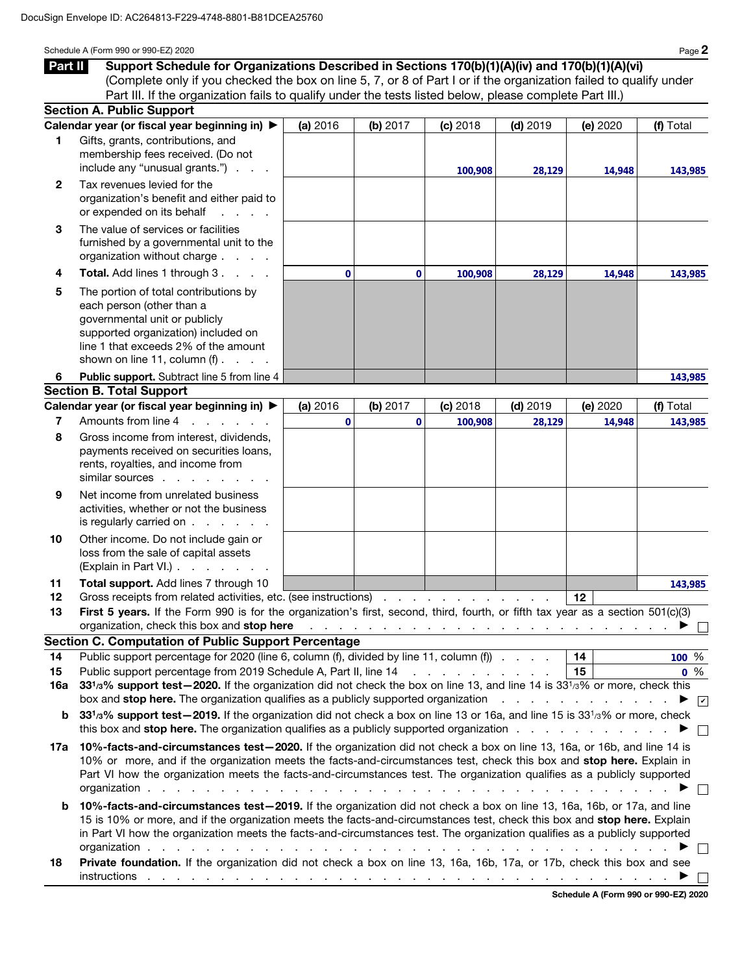|              | Schedule A (Form 990 or 990-EZ) 2020                                                                                                                                                                                                                                                                                                                                                       |             |              |                                                     |            |                                                                                       | Page 2                                |
|--------------|--------------------------------------------------------------------------------------------------------------------------------------------------------------------------------------------------------------------------------------------------------------------------------------------------------------------------------------------------------------------------------------------|-------------|--------------|-----------------------------------------------------|------------|---------------------------------------------------------------------------------------|---------------------------------------|
| Part II      | Support Schedule for Organizations Described in Sections 170(b)(1)(A)(iv) and 170(b)(1)(A)(vi)<br>(Complete only if you checked the box on line 5, 7, or 8 of Part I or if the organization failed to qualify under                                                                                                                                                                        |             |              |                                                     |            |                                                                                       |                                       |
|              | Part III. If the organization fails to qualify under the tests listed below, please complete Part III.)                                                                                                                                                                                                                                                                                    |             |              |                                                     |            |                                                                                       |                                       |
|              | <b>Section A. Public Support</b>                                                                                                                                                                                                                                                                                                                                                           |             |              |                                                     |            |                                                                                       |                                       |
|              | Calendar year (or fiscal year beginning in) ▶                                                                                                                                                                                                                                                                                                                                              | (a) 2016    | (b) 2017     | (c) 2018                                            | $(d)$ 2019 | (e) 2020                                                                              | (f) Total                             |
| 1            | Gifts, grants, contributions, and<br>membership fees received. (Do not<br>include any "unusual grants.")                                                                                                                                                                                                                                                                                   |             |              | 100,908                                             | 28,129     | 14,948                                                                                | 143,985                               |
| $\mathbf{2}$ | Tax revenues levied for the<br>organization's benefit and either paid to<br>or expended on its behalf<br>and a state                                                                                                                                                                                                                                                                       |             |              |                                                     |            |                                                                                       |                                       |
| 3            | The value of services or facilities<br>furnished by a governmental unit to the<br>organization without charge                                                                                                                                                                                                                                                                              |             |              |                                                     |            |                                                                                       |                                       |
| 4            | Total. Add lines 1 through 3.                                                                                                                                                                                                                                                                                                                                                              | $\mathbf 0$ | $\mathbf{0}$ | 100,908                                             | 28,129     | 14,948                                                                                | 143,985                               |
| 5            | The portion of total contributions by<br>each person (other than a<br>governmental unit or publicly<br>supported organization) included on<br>line 1 that exceeds 2% of the amount<br>shown on line 11, column $(f)$ .                                                                                                                                                                     |             |              |                                                     |            |                                                                                       |                                       |
| 6            | Public support. Subtract line 5 from line 4                                                                                                                                                                                                                                                                                                                                                |             |              |                                                     |            |                                                                                       | 143,985                               |
|              | <b>Section B. Total Support</b>                                                                                                                                                                                                                                                                                                                                                            |             |              |                                                     |            |                                                                                       |                                       |
|              | Calendar year (or fiscal year beginning in) ▶                                                                                                                                                                                                                                                                                                                                              | (a) 2016    | (b) 2017     | (c) 2018                                            | $(d)$ 2019 | (e) 2020                                                                              | (f) Total                             |
| 7<br>8       | Amounts from line 4<br>Gross income from interest, dividends,<br>payments received on securities loans,<br>rents, royalties, and income from<br>similar sources                                                                                                                                                                                                                            | $\mathbf 0$ | $\mathbf{0}$ | 100,908                                             | 28,129     | 14,948                                                                                | 143,985                               |
| 9            | Net income from unrelated business<br>activities, whether or not the business<br>is regularly carried on                                                                                                                                                                                                                                                                                   |             |              |                                                     |            |                                                                                       |                                       |
| 10           | Other income. Do not include gain or<br>loss from the sale of capital assets<br>(Explain in Part VI.)                                                                                                                                                                                                                                                                                      |             |              |                                                     |            |                                                                                       |                                       |
| 11           | Total support. Add lines 7 through 10                                                                                                                                                                                                                                                                                                                                                      |             |              |                                                     |            |                                                                                       | 143,985                               |
| 12           | Gross receipts from related activities, etc. (see instructions)                                                                                                                                                                                                                                                                                                                            |             |              |                                                     |            | 12 <sup>2</sup>                                                                       |                                       |
| 13           | First 5 years. If the Form 990 is for the organization's first, second, third, fourth, or fifth tax year as a section 501(c)(3)                                                                                                                                                                                                                                                            |             |              |                                                     |            |                                                                                       |                                       |
|              | organization, check this box and stop here                                                                                                                                                                                                                                                                                                                                                 |             |              |                                                     |            | والمتعاون والمتعاون والمتعاونة والمتعاونة والمتعاونة والمتعاونة والمتعاونة والمتعاونة |                                       |
| 14           | <b>Section C. Computation of Public Support Percentage</b><br>Public support percentage for 2020 (line 6, column (f), divided by line 11, column (f)                                                                                                                                                                                                                                       |             |              |                                                     |            | 14                                                                                    | 100 %                                 |
| 15           | Public support percentage from 2019 Schedule A, Part II, line 14                                                                                                                                                                                                                                                                                                                           |             |              |                                                     |            | 15                                                                                    | $0\%$                                 |
| 16a          | 331/3% support test-2020. If the organization did not check the box on line 13, and line 14 is 331/3% or more, check this<br>box and stop here. The organization qualifies as a publicly supported organization                                                                                                                                                                            |             |              |                                                     |            |                                                                                       | $\blacktriangleright$ $\mid$ v $\mid$ |
| b            | 331/3% support test-2019. If the organization did not check a box on line 13 or 16a, and line 15 is 331/3% or more, check<br>this box and <b>stop here.</b> The organization qualifies as a publicly supported organization                                                                                                                                                                |             |              |                                                     |            |                                                                                       |                                       |
| 17a          | 10%-facts-and-circumstances test-2020. If the organization did not check a box on line 13, 16a, or 16b, and line 14 is<br>10% or more, and if the organization meets the facts-and-circumstances test, check this box and stop here. Explain in<br>Part VI how the organization meets the facts-and-circumstances test. The organization qualifies as a publicly supported<br>organization |             |              | the contract of the contract of the contract of the |            |                                                                                       |                                       |
| b            | 10%-facts-and-circumstances test-2019. If the organization did not check a box on line 13, 16a, 16b, or 17a, and line<br>15 is 10% or more, and if the organization meets the facts-and-circumstances test, check this box and stop here. Explain<br>in Part VI how the organization meets the facts-and-circumstances test. The organization qualifies as a publicly supported            |             |              |                                                     |            |                                                                                       |                                       |

18 Private foundation. If the organization did not check a box on line 13, 16a, 16b, 17a, or 17b, check this box and see instructions . . . . . . . . . . . . . . . . . . . . . . . . . . . . . . . . . . . . ▶  $\Box$ 

Schedule A (Form 990 or 990-EZ) 2020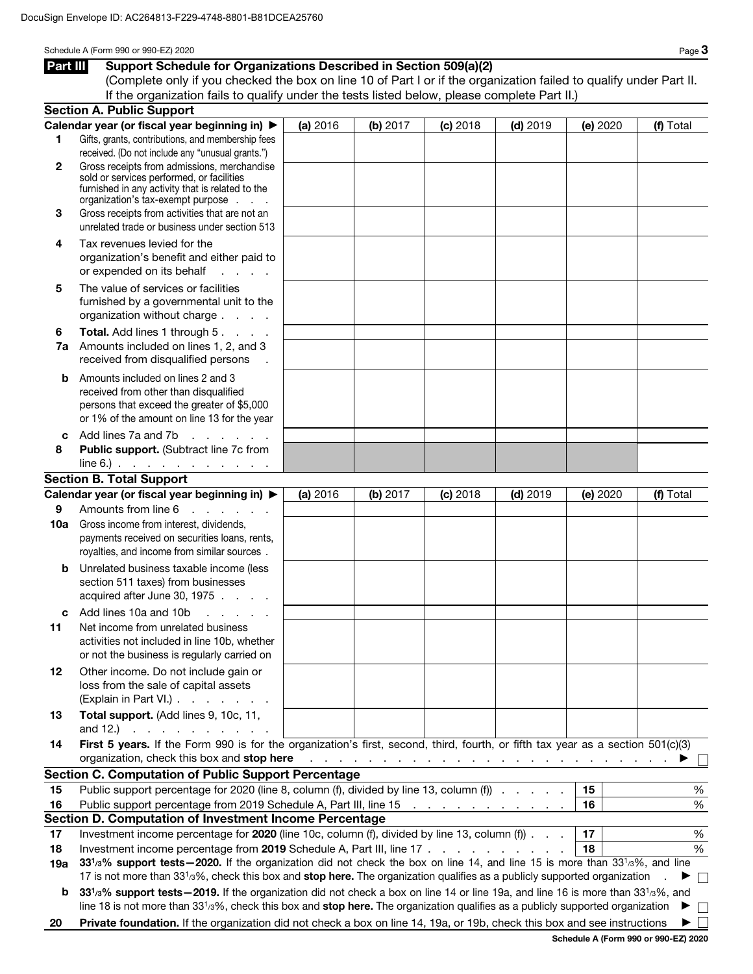Schedule A (Form 990 or 990-EZ) 2020 Page 3

## Part III Support Schedule for Organizations Described in Section 509(a)(2)

(Complete only if you checked the box on line 10 of Part I or if the organization failed to qualify under Part II. If the organization fails to qualify under the tests listed below, please complete Part II.)

|              | <b>Section A. Public Support</b>                                                                                                       |          |                                                                                        |          |                                    |          |                                      |
|--------------|----------------------------------------------------------------------------------------------------------------------------------------|----------|----------------------------------------------------------------------------------------|----------|------------------------------------|----------|--------------------------------------|
|              | Calendar year (or fiscal year beginning in) ▶                                                                                          | (a) 2016 | (b) $2017$                                                                             | (c) 2018 | $(d)$ 2019                         | (e) 2020 | (f) Total                            |
| 1.           | Gifts, grants, contributions, and membership fees                                                                                      |          |                                                                                        |          |                                    |          |                                      |
|              | received. (Do not include any "unusual grants.")                                                                                       |          |                                                                                        |          |                                    |          |                                      |
| $\mathbf{2}$ | Gross receipts from admissions, merchandise                                                                                            |          |                                                                                        |          |                                    |          |                                      |
|              | sold or services performed, or facilities<br>furnished in any activity that is related to the                                          |          |                                                                                        |          |                                    |          |                                      |
|              | organization's tax-exempt purpose                                                                                                      |          |                                                                                        |          |                                    |          |                                      |
| 3            | Gross receipts from activities that are not an                                                                                         |          |                                                                                        |          |                                    |          |                                      |
|              | unrelated trade or business under section 513                                                                                          |          |                                                                                        |          |                                    |          |                                      |
| 4            | Tax revenues levied for the                                                                                                            |          |                                                                                        |          |                                    |          |                                      |
|              | organization's benefit and either paid to                                                                                              |          |                                                                                        |          |                                    |          |                                      |
|              | or expended on its behalf<br><b>Service State</b>                                                                                      |          |                                                                                        |          |                                    |          |                                      |
| 5            | The value of services or facilities                                                                                                    |          |                                                                                        |          |                                    |          |                                      |
|              | furnished by a governmental unit to the                                                                                                |          |                                                                                        |          |                                    |          |                                      |
|              | organization without charge                                                                                                            |          |                                                                                        |          |                                    |          |                                      |
| 6            | Total. Add lines 1 through 5.                                                                                                          |          |                                                                                        |          |                                    |          |                                      |
| 7a           | Amounts included on lines 1, 2, and 3                                                                                                  |          |                                                                                        |          |                                    |          |                                      |
|              | received from disqualified persons                                                                                                     |          |                                                                                        |          |                                    |          |                                      |
| b            | Amounts included on lines 2 and 3                                                                                                      |          |                                                                                        |          |                                    |          |                                      |
|              | received from other than disqualified                                                                                                  |          |                                                                                        |          |                                    |          |                                      |
|              | persons that exceed the greater of \$5,000                                                                                             |          |                                                                                        |          |                                    |          |                                      |
|              | or 1% of the amount on line 13 for the year                                                                                            |          |                                                                                        |          |                                    |          |                                      |
| C            | and the control<br>Add lines 7a and 7b                                                                                                 |          |                                                                                        |          |                                    |          |                                      |
| 8            | Public support. (Subtract line 7c from                                                                                                 |          |                                                                                        |          |                                    |          |                                      |
|              | $line 6$ . $\ldots$ $\ldots$ $\ldots$ $\ldots$                                                                                         |          |                                                                                        |          |                                    |          |                                      |
|              | <b>Section B. Total Support</b>                                                                                                        |          |                                                                                        |          |                                    |          |                                      |
|              | Calendar year (or fiscal year beginning in) ▶                                                                                          | (a) 2016 | (b) 2017                                                                               | (c) 2018 | $(d)$ 2019                         | (e) 2020 | (f) Total                            |
| 9            | Amounts from line 6<br>and a state of                                                                                                  |          |                                                                                        |          |                                    |          |                                      |
| 10a          | Gross income from interest, dividends,                                                                                                 |          |                                                                                        |          |                                    |          |                                      |
|              | payments received on securities loans, rents,                                                                                          |          |                                                                                        |          |                                    |          |                                      |
|              | royalties, and income from similar sources.                                                                                            |          |                                                                                        |          |                                    |          |                                      |
| b            | Unrelated business taxable income (less                                                                                                |          |                                                                                        |          |                                    |          |                                      |
|              | section 511 taxes) from businesses                                                                                                     |          |                                                                                        |          |                                    |          |                                      |
|              | acquired after June 30, 1975                                                                                                           |          |                                                                                        |          |                                    |          |                                      |
| C            | Add lines 10a and 10b<br>and a state of                                                                                                |          |                                                                                        |          |                                    |          |                                      |
| 11           | Net income from unrelated business                                                                                                     |          |                                                                                        |          |                                    |          |                                      |
|              | activities not included in line 10b, whether                                                                                           |          |                                                                                        |          |                                    |          |                                      |
|              | or not the business is regularly carried on                                                                                            |          |                                                                                        |          |                                    |          |                                      |
| 12           | Other income. Do not include gain or                                                                                                   |          |                                                                                        |          |                                    |          |                                      |
|              | loss from the sale of capital assets                                                                                                   |          |                                                                                        |          |                                    |          |                                      |
|              | (Explain in Part VI.)                                                                                                                  |          |                                                                                        |          |                                    |          |                                      |
| 13           | Total support. (Add lines 9, 10c, 11,                                                                                                  |          |                                                                                        |          |                                    |          |                                      |
|              | and 12.)<br>and a straightful contract and                                                                                             |          |                                                                                        |          |                                    |          |                                      |
| 14           | First 5 years. If the Form 990 is for the organization's first, second, third, fourth, or fifth tax year as a section 501(c)(3)        |          |                                                                                        |          |                                    |          |                                      |
|              | organization, check this box and stop here                                                                                             |          | المتعاونة والمتعاونة والمتعاونة والمتعاونة والمتعاونة والمتعاونة والمتعاونة والمتعاونة |          |                                    |          |                                      |
|              | <b>Section C. Computation of Public Support Percentage</b>                                                                             |          |                                                                                        |          |                                    |          |                                      |
| 15           | Public support percentage for 2020 (line 8, column (f), divided by line 13, column (f))                                                |          |                                                                                        |          |                                    | 15       | $\%$                                 |
| 16           | Public support percentage from 2019 Schedule A, Part III, line 15                                                                      |          |                                                                                        |          | and a series of the company of the | 16       | $\%$                                 |
|              | Section D. Computation of Investment Income Percentage                                                                                 |          |                                                                                        |          |                                    |          |                                      |
| 17           | Investment income percentage for 2020 (line 10c, column (f), divided by line 13, column (f)                                            |          |                                                                                        |          |                                    | 17       | $\%$                                 |
| 18           | Investment income percentage from 2019 Schedule A, Part III, line 17                                                                   |          |                                                                                        |          |                                    | 18       | %                                    |
| 19a          | 331/3% support tests - 2020. If the organization did not check the box on line 14, and line 15 is more than 331/3%, and line           |          |                                                                                        |          |                                    |          |                                      |
|              | 17 is not more than 33 <sup>1</sup> /3%, check this box and stop here. The organization qualifies as a publicly supported organization |          |                                                                                        |          |                                    |          | $\Box$                               |
| b            | 331/3% support tests - 2019. If the organization did not check a box on line 14 or line 19a, and line 16 is more than 331/3%, and      |          |                                                                                        |          |                                    |          |                                      |
|              | line 18 is not more than $3313%$ , check this box and stop here. The organization qualifies as a publicly supported organization       |          |                                                                                        |          |                                    |          | $\Box$<br>▶                          |
| 20           | Private foundation. If the organization did not check a box on line 14, 19a, or 19b, check this box and see instructions               |          |                                                                                        |          |                                    |          | $\perp$<br>▶                         |
|              |                                                                                                                                        |          |                                                                                        |          |                                    |          | Schedule A (Form 990 or 990-EZ) 2020 |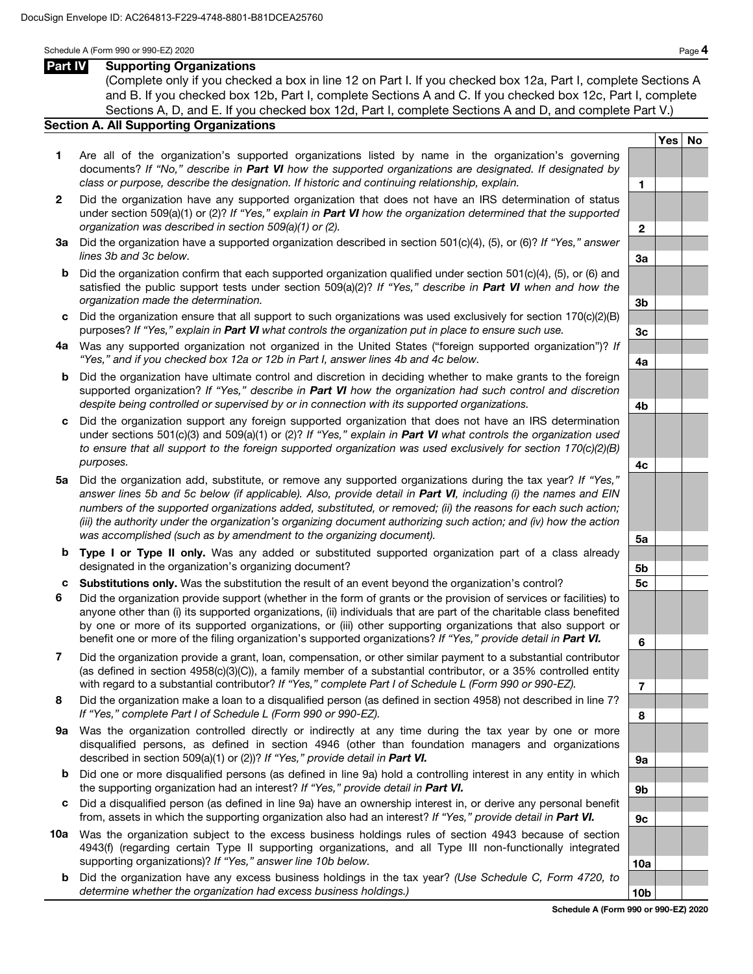Schedule A (Form 990 or 990-EZ) 2020 Page 4 Page 1 2020

### Part **IV** Supporting Organizations

(Complete only if you checked a box in line 12 on Part I. If you checked box 12a, Part I, complete Sections A and B. If you checked box 12b, Part I, complete Sections A and C. If you checked box 12c, Part I, complete Sections A, D, and E. If you checked box 12d, Part I, complete Sections A and D, and complete Part V.)

### Section A. All Supporting Organizations

- 1 Are all of the organization's supported organizations listed by name in the organization's governing documents? *If "No," describe in Part VI how the supported organizations are designated. If designated by class or purpose, describe the designation. If historic and continuing relationship, explain.* 1
- 2 Did the organization have any supported organization that does not have an IRS determination of status under section 509(a)(1) or (2)? *If "Yes," explain in Part VI how the organization determined that the supported organization was described in section 509(a)(1) or (2).* 2
- 3a Did the organization have a supported organization described in section 501(c)(4), (5), or (6)? *If "Yes," answer lines 3b and 3c below.* 3a
- b Did the organization confirm that each supported organization qualified under section 501(c)(4), (5), or (6) and satisfied the public support tests under section 509(a)(2)? *If "Yes," describe in Part VI when and how the organization made the determination.* 3b
- c Did the organization ensure that all support to such organizations was used exclusively for section  $170(c)(2)(B)$ purposes? *If "Yes," explain in Part VI what controls the organization put in place to ensure such use.* 3c
- 4a Was any supported organization not organized in the United States ("foreign supported organization")? *If "Yes," and if you checked box 12a or 12b in Part I, answer lines 4b and 4c below.* 4a
- b Did the organization have ultimate control and discretion in deciding whether to make grants to the foreign supported organization? *If "Yes," describe in Part VI how the organization had such control and discretion despite being controlled or supervised by or in connection with its supported organizations.*  $4b$
- c Did the organization support any foreign supported organization that does not have an IRS determination under sections 501(c)(3) and 509(a)(1) or (2)? *If "Yes," explain in Part VI what controls the organization used to ensure that all support to the foreign supported organization was used exclusively for section 170(c)(2)(B) purposes.* 4c
- 5a Did the organization add, substitute, or remove any supported organizations during the tax year? *If "Yes," answer lines 5b and 5c below (if applicable). Also, provide detail in Part VI, including (i) the names and EIN numbers of the supported organizations added, substituted, or removed; (ii) the reasons for each such action; (iii) the authority under the organization's organizing document authorizing such action; and (iv) how the action* was accomplished (such as by amendment to the organizing document).
- **b** Type I or Type II only. Was any added or substituted supported organization part of a class already designated in the organization's organizing document? **5b** solution is a state of the state of the state of the state of the state of the state of the state of the state of the state of the state of the state of the state
- c Substitutions only. Was the substitution the result of an event beyond the organization's control? 5c
- 6 Did the organization provide support (whether in the form of grants or the provision of services or facilities) to anyone other than (i) its supported organizations, (ii) individuals that are part of the charitable class benefited by one or more of its supported organizations, or (iii) other supporting organizations that also support or benefit one or more of the filing organization's supported organizations? *If "Yes," provide detail in Part VI.* **6**
- 7 Did the organization provide a grant, loan, compensation, or other similar payment to a substantial contributor (as defined in section 4958(c)(3)(C)), a family member of a substantial contributor, or a 35% controlled entity with regard to a substantial contributor? *If "Yes," complete Part I of Schedule L (Form 990 or 990-EZ).* 7
- 8 Did the organization make a loan to a disqualified person (as defined in section 4958) not described in line 7? *If "Yes," complete Part I of Schedule L (Form 990 or 990-EZ).* 8
- 9a Was the organization controlled directly or indirectly at any time during the tax year by one or more disqualified persons, as defined in section 4946 (other than foundation managers and organizations described in section 509(a)(1) or (2))? *If "Yes," provide detail in Part VI. 9a*
- b Did one or more disqualified persons (as defined in line 9a) hold a controlling interest in any entity in which the supporting organization had an interest? *If "Yes," provide detail in Part VI.* 9b
- c Did a disqualified person (as defined in line 9a) have an ownership interest in, or derive any personal benefit from, assets in which the supporting organization also had an interest? *If "Yes," provide detail in Part VI.* 9c
- 10a Was the organization subject to the excess business holdings rules of section 4943 because of section 4943(f) (regarding certain Type II supporting organizations, and all Type III non-functionally integrated supporting organizations)? *If "Yes," answer line 10b below.* 10a
	- b Did the organization have any excess business holdings in the tax year? *(Use Schedule C, Form 4720, to*  determine whether the organization had excess business holdings.) 10b

Yes No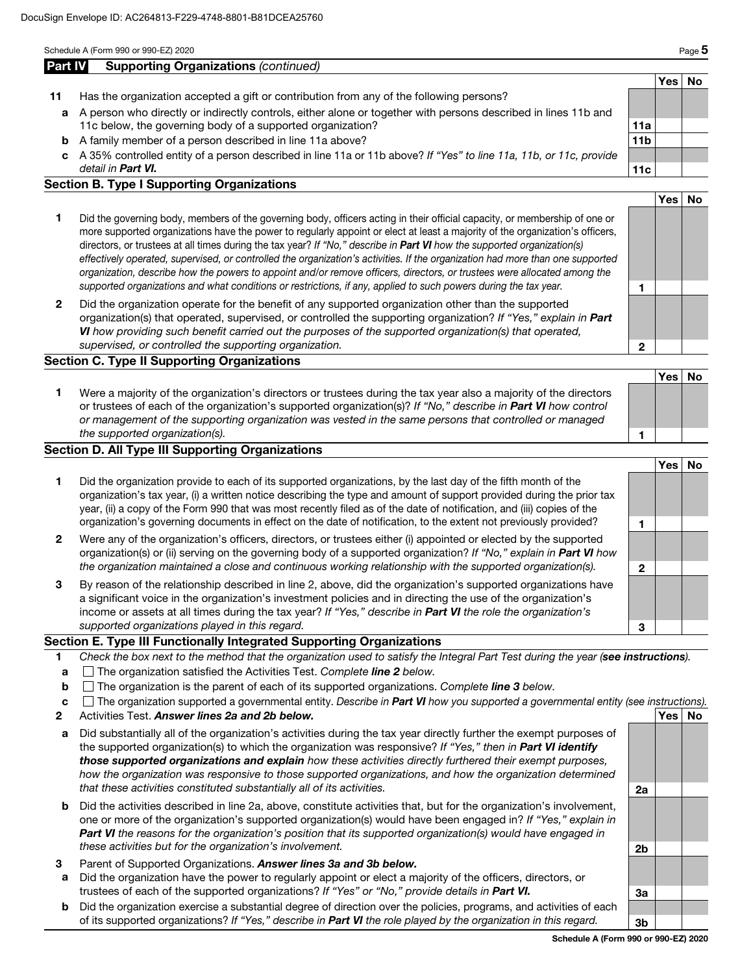Schedule A (Form 990 or 990-EZ) 2020 **Page 5** Page 1 and the state of the state of the state of the state of the state of the state of the state of the state of the state of the state of the state of the state of the state

## Part IV Supporting Organizations *(continued)*  Yes | No

- 11 Has the organization accepted a gift or contribution from any of the following persons?
	- a A person who directly or indirectly controls, either alone or together with persons described in lines 11b and 11c below, the governing body of a supported organization? 11a and the state of the state of the state of the state of the state of the state of the state of the state of the state of the state of the state of the state of
	- **b** A family member of a person described in line 11a above? 11b
	- c A 35% controlled entity of a person described in line 11a or 11b above? *If "Yes" to line 11a, 11b, or 11c, provide detail in Part VI.* 11c

### Section B. Type I Supporting Organizations

- 1 Did the governing body, members of the governing body, officers acting in their official capacity, or membership of one or more supported organizations have the power to regularly appoint or elect at least a majority of the organization's officers, directors, or trustees at all times during the tax year? *If "No," describe in Part VI how the supported organization(s) effectively operated, supervised, or controlled the organization's activities. If the organization had more than one supported organization, describe how the powers to appoint and/or remove officers, directors, or trustees were allocated among the*  supported organizations and what conditions or restrictions, if any, applied to such powers during the tax year.
- 2 Did the organization operate for the benefit of any supported organization other than the supported organization(s) that operated, supervised, or controlled the supporting organization? *If "Yes," explain in Part VI how providing such benefit carried out the purposes of the supported organization(s) that operated, supervised, or controlled the supporting organization.* 2

### Section C. Type II Supporting Organizations

1 Were a majority of the organization's directors or trustees during the tax year also a majority of the directors or trustees of each of the organization's supported organization(s)? *If "No," describe in Part VI how control or management of the supporting organization was vested in the same persons that controlled or managed*  **the supported organization(s).** 1

### Section D. All Type III Supporting Organizations

- Yes | No 1 Did the organization provide to each of its supported organizations, by the last day of the fifth month of the organization's tax year, (i) a written notice describing the type and amount of support provided during the prior tax year, (ii) a copy of the Form 990 that was most recently filed as of the date of notification, and (iii) copies of the organization's governing documents in effect on the date of notification, to the extent not previously provided? 2 Were any of the organization's officers, directors, or trustees either (i) appointed or elected by the supported organization(s) or (ii) serving on the governing body of a supported organization? *If "No," explain in Part VI how the organization maintained a close and continuous working relationship with the supported organization(s).* 2
- 3 By reason of the relationship described in line 2, above, did the organization's supported organizations have a significant voice in the organization's investment policies and in directing the use of the organization's income or assets at all times during the tax year? *If "Yes," describe in Part VI the role the organization's supported organizations played in this regard.* 3

### Section E. Type III Functionally Integrated Supporting Organizations

- 1 *Check the box next to the method that the organization used to satisfy the Integral Part Test during the year (see instructions).*
- a The organization satisfied the Activities Test. *Complete line 2 below.*
- **b**  $\Box$  The organization is the parent of each of its supported organizations. *Complete line 3 below.*
- c The organization supported a governmental entity. *Describe in Part VI how you supported a governmental entity (see instructions).*
- 2 Activities Test. Answer lines 2a and 2b below. And the set of the set of the set of the set of the set of the set of the set of the set of the set of the set of the set of the set of the set of the set of the set of the
- a Did substantially all of the organization's activities during the tax year directly further the exempt purposes of the supported organization(s) to which the organization was responsive? *If "Yes," then in Part VI identify those supported organizations and explain how these activities directly furthered their exempt purposes, how the organization was responsive to those supported organizations, and how the organization determined that these activities constituted substantially all of its activities.* 2a
- b Did the activities described in line 2a, above, constitute activities that, but for the organization's involvement, one or more of the organization's supported organization(s) would have been engaged in? *If "Yes," explain in Part VI the reasons for the organization's position that its supported organization(s) would have engaged in these activities but for the organization's involvement.* 2b
- 3 Parent of Supported Organizations. *Answer lines 3a and 3b below.*
- a Did the organization have the power to regularly appoint or elect a majority of the officers, directors, or trustees of each of the supported organizations? *If "Yes" or "No," provide details in Part VI.* 3a
- b Did the organization exercise a substantial degree of direction over the policies, programs, and activities of each of its supported organizations? *If "Yes," describe in Part VI the role played by the organization in this regard.* 3b

Schedule A (Form 990 or 990-EZ) 2020

 $\overline{Yes}$  No

Yes | No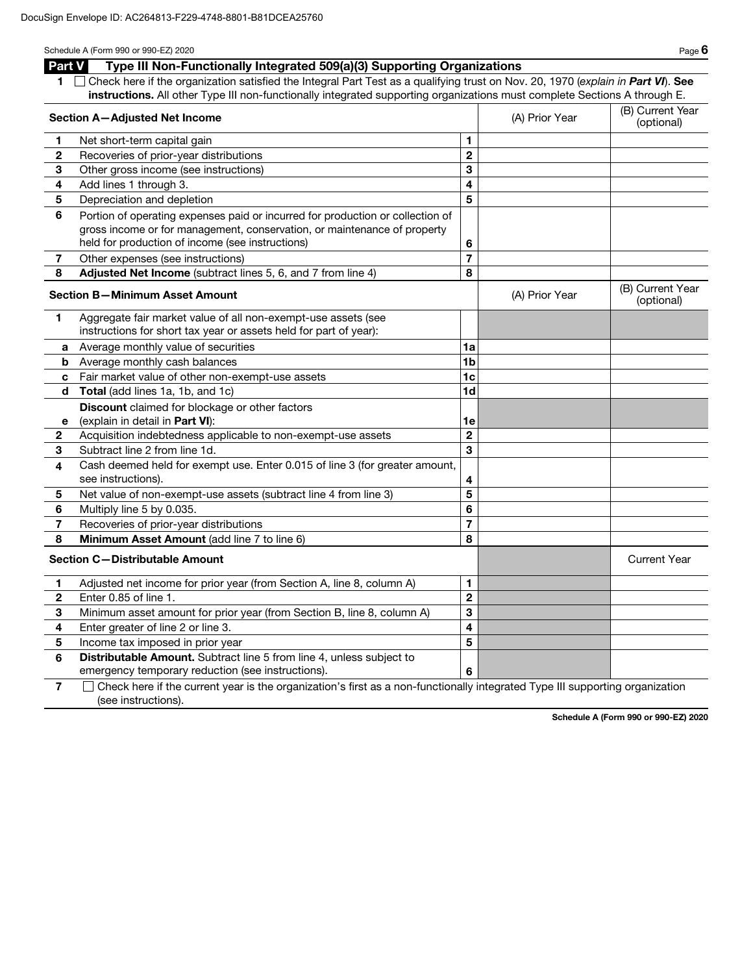Schedule A (Form 990 or 990-EZ) 2020  $P_{\text{age}}$  6

| <b>Part V</b> | Type III Non-Functionally Integrated 509(a)(3) Supporting Organizations                                                            |  |
|---------------|------------------------------------------------------------------------------------------------------------------------------------|--|
|               | □ Check here if the organization satisfied the Integral Part Test as a qualifying trust on Nov. 20, 1970 (explain in Part VI). See |  |
|               | instructions. All other Type III non-functionally integrated supporting organizations must complete Sections A through E.          |  |

|                         | Section A-Adjusted Net Income                                                                     |                         | (A) Prior Year | (B) Current Year<br>(optional) |
|-------------------------|---------------------------------------------------------------------------------------------------|-------------------------|----------------|--------------------------------|
| 1                       | Net short-term capital gain                                                                       | 1                       |                |                                |
| $\overline{2}$          | Recoveries of prior-year distributions                                                            | $\overline{2}$          |                |                                |
| 3                       | Other gross income (see instructions)                                                             | 3                       |                |                                |
| 4                       | Add lines 1 through 3.                                                                            | 4                       |                |                                |
| 5                       | Depreciation and depletion                                                                        | 5                       |                |                                |
| 6                       | Portion of operating expenses paid or incurred for production or collection of                    |                         |                |                                |
|                         | gross income or for management, conservation, or maintenance of property                          |                         |                |                                |
|                         | held for production of income (see instructions)                                                  | 6                       |                |                                |
| 7                       | Other expenses (see instructions)                                                                 | $\overline{7}$          |                |                                |
| 8                       | Adjusted Net Income (subtract lines 5, 6, and 7 from line 4)                                      | 8                       |                |                                |
|                         | <b>Section B-Minimum Asset Amount</b>                                                             |                         | (A) Prior Year | (B) Current Year<br>(optional) |
| 1                       | Aggregate fair market value of all non-exempt-use assets (see                                     |                         |                |                                |
|                         | instructions for short tax year or assets held for part of year):                                 |                         |                |                                |
| a                       | Average monthly value of securities                                                               | 1a                      |                |                                |
| b                       | Average monthly cash balances                                                                     | 1 <sub>b</sub>          |                |                                |
| C                       | Fair market value of other non-exempt-use assets                                                  | 1 <sub>c</sub>          |                |                                |
| d                       | Total (add lines 1a, 1b, and 1c)                                                                  | 1d                      |                |                                |
|                         | Discount claimed for blockage or other factors                                                    |                         |                |                                |
| е                       | (explain in detail in Part VI):                                                                   | 1e                      |                |                                |
| $\mathbf{2}$            | Acquisition indebtedness applicable to non-exempt-use assets                                      | $\mathbf 2$             |                |                                |
| 3                       | Subtract line 2 from line 1d.                                                                     | 3                       |                |                                |
| 4                       | Cash deemed held for exempt use. Enter 0.015 of line 3 (for greater amount,<br>see instructions). | 4                       |                |                                |
| 5                       | Net value of non-exempt-use assets (subtract line 4 from line 3)                                  | 5                       |                |                                |
| 6                       | Multiply line 5 by 0.035.                                                                         | 6                       |                |                                |
| $\overline{\mathbf{r}}$ | Recoveries of prior-year distributions                                                            | $\overline{7}$          |                |                                |
| 8                       | Minimum Asset Amount (add line 7 to line 6)                                                       | 8                       |                |                                |
|                         | <b>Section C-Distributable Amount</b>                                                             |                         |                | <b>Current Year</b>            |
| 1                       | Adjusted net income for prior year (from Section A, line 8, column A)                             | 1                       |                |                                |
| $\mathbf{2}$            | Enter 0.85 of line 1.                                                                             | $\overline{2}$          |                |                                |
| 3                       | Minimum asset amount for prior year (from Section B, line 8, column A)                            | 3                       |                |                                |
| 4                       | Enter greater of line 2 or line 3.                                                                | $\overline{\mathbf{4}}$ |                |                                |
| 5                       | Income tax imposed in prior year                                                                  | 5                       |                |                                |
| 6                       | Distributable Amount. Subtract line 5 from line 4, unless subject to                              |                         |                |                                |
|                         | emergency temporary reduction (see instructions).                                                 | 6                       |                |                                |

7 Check here if the current year is the organization's first as a non-functionally integrated Type III supporting organization (see instructions).

Schedule A (Form 990 or 990-EZ) 2020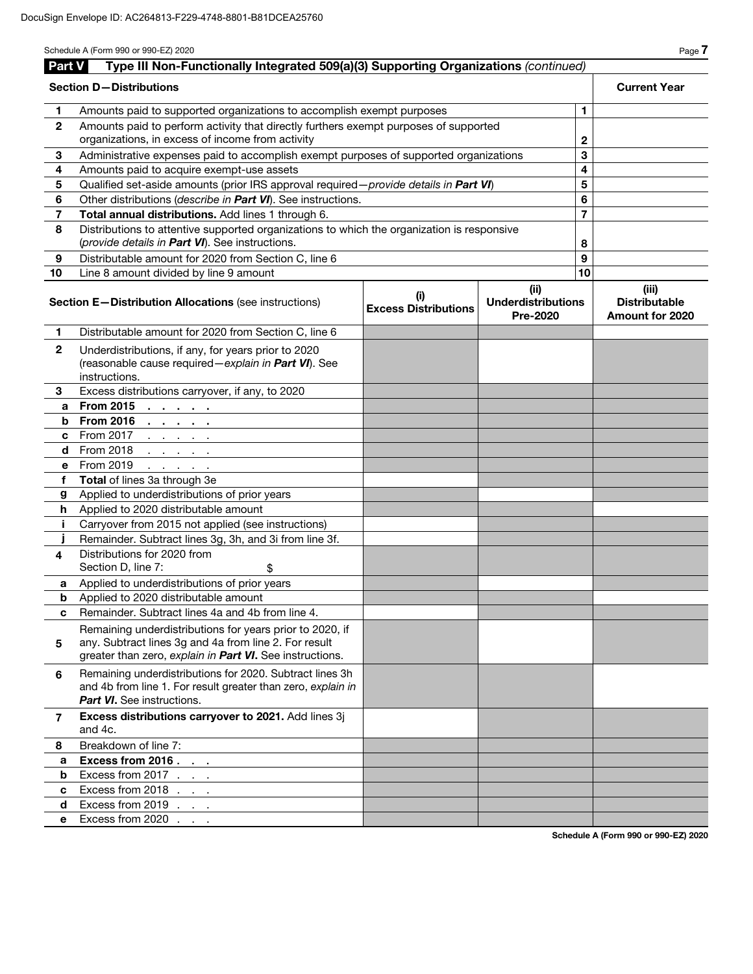Schedule A (Form 990 or 990-EZ) 2020  $P_{\text{AGE}}$  7

| <b>Part V</b>           | Type III Non-Functionally Integrated 509(a)(3) Supporting Organizations (continued)                                                                                           |                                    |                                               |    | . ago .                                                 |
|-------------------------|-------------------------------------------------------------------------------------------------------------------------------------------------------------------------------|------------------------------------|-----------------------------------------------|----|---------------------------------------------------------|
|                         | <b>Section D-Distributions</b>                                                                                                                                                |                                    |                                               |    | <b>Current Year</b>                                     |
| 1                       | Amounts paid to supported organizations to accomplish exempt purposes                                                                                                         |                                    | 1                                             |    |                                                         |
| $\mathbf{2}$            | Amounts paid to perform activity that directly furthers exempt purposes of supported                                                                                          |                                    |                                               |    |                                                         |
|                         | organizations, in excess of income from activity                                                                                                                              |                                    |                                               | 2  |                                                         |
| 3                       | Administrative expenses paid to accomplish exempt purposes of supported organizations                                                                                         |                                    |                                               | 3  |                                                         |
| 4                       | Amounts paid to acquire exempt-use assets                                                                                                                                     |                                    |                                               | 4  |                                                         |
| 5                       | Qualified set-aside amounts (prior IRS approval required-provide details in Part VI)                                                                                          |                                    |                                               | 5  |                                                         |
| 6                       | Other distributions (describe in Part VI). See instructions.                                                                                                                  |                                    |                                               | 6  |                                                         |
| $\overline{\mathbf{r}}$ | Total annual distributions. Add lines 1 through 6.                                                                                                                            |                                    |                                               | 7  |                                                         |
| 8                       | Distributions to attentive supported organizations to which the organization is responsive<br>(provide details in Part VI). See instructions.                                 |                                    |                                               | 8  |                                                         |
| 9                       | Distributable amount for 2020 from Section C, line 6                                                                                                                          |                                    |                                               | 9  |                                                         |
| 10                      | Line 8 amount divided by line 9 amount                                                                                                                                        |                                    |                                               | 10 |                                                         |
|                         | <b>Section E-Distribution Allocations (see instructions)</b>                                                                                                                  | (i)<br><b>Excess Distributions</b> | (ii)<br><b>Underdistributions</b><br>Pre-2020 |    | (iii)<br><b>Distributable</b><br><b>Amount for 2020</b> |
| 1                       | Distributable amount for 2020 from Section C, line 6                                                                                                                          |                                    |                                               |    |                                                         |
| $\overline{2}$          | Underdistributions, if any, for years prior to 2020<br>(reasonable cause required-explain in Part VI). See<br>instructions.                                                   |                                    |                                               |    |                                                         |
| 3                       | Excess distributions carryover, if any, to 2020                                                                                                                               |                                    |                                               |    |                                                         |
| a                       | From 2015 $\, \cdot \, \cdot \, \cdot \, \cdot \,$                                                                                                                            |                                    |                                               |    |                                                         |
| b                       | From 2016                                                                                                                                                                     |                                    |                                               |    |                                                         |
| c                       | From 2017<br>the company of the com-                                                                                                                                          |                                    |                                               |    |                                                         |
| d                       | From 2018<br>the company of the                                                                                                                                               |                                    |                                               |    |                                                         |
| е                       | From 2019<br>and a state of the                                                                                                                                               |                                    |                                               |    |                                                         |
| f                       | Total of lines 3a through 3e                                                                                                                                                  |                                    |                                               |    |                                                         |
| g                       | Applied to underdistributions of prior years                                                                                                                                  |                                    |                                               |    |                                                         |
| h                       | Applied to 2020 distributable amount                                                                                                                                          |                                    |                                               |    |                                                         |
| j.                      | Carryover from 2015 not applied (see instructions)                                                                                                                            |                                    |                                               |    |                                                         |
| Ĵ                       | Remainder. Subtract lines 3g, 3h, and 3i from line 3f.                                                                                                                        |                                    |                                               |    |                                                         |
| 4                       | Distributions for 2020 from<br>Section D, line 7:<br>\$                                                                                                                       |                                    |                                               |    |                                                         |
| a                       | Applied to underdistributions of prior years                                                                                                                                  |                                    |                                               |    |                                                         |
| b                       | Applied to 2020 distributable amount                                                                                                                                          |                                    |                                               |    |                                                         |
| c                       | Remainder. Subtract lines 4a and 4b from line 4.                                                                                                                              |                                    |                                               |    |                                                         |
| 5                       | Remaining underdistributions for years prior to 2020, if<br>any. Subtract lines 3g and 4a from line 2. For result<br>greater than zero, explain in Part VI. See instructions. |                                    |                                               |    |                                                         |
| 6                       | Remaining underdistributions for 2020. Subtract lines 3h<br>and 4b from line 1. For result greater than zero, explain in<br>Part VI. See instructions.                        |                                    |                                               |    |                                                         |
| $\overline{7}$          | Excess distributions carryover to 2021. Add lines 3j<br>and 4c.                                                                                                               |                                    |                                               |    |                                                         |
| 8                       | Breakdown of line 7:                                                                                                                                                          |                                    |                                               |    |                                                         |
| a                       | Excess from 2016                                                                                                                                                              |                                    |                                               |    |                                                         |
| b                       | Excess from 2017 $\ldots$                                                                                                                                                     |                                    |                                               |    |                                                         |
| c                       | Excess from 2018 $\ldots$ $\ldots$                                                                                                                                            |                                    |                                               |    |                                                         |
| d                       | Excess from 2019 $\ldots$                                                                                                                                                     |                                    |                                               |    |                                                         |
| e                       | Excess from 2020                                                                                                                                                              |                                    |                                               |    |                                                         |

Schedule A (Form 990 or 990-EZ) 2020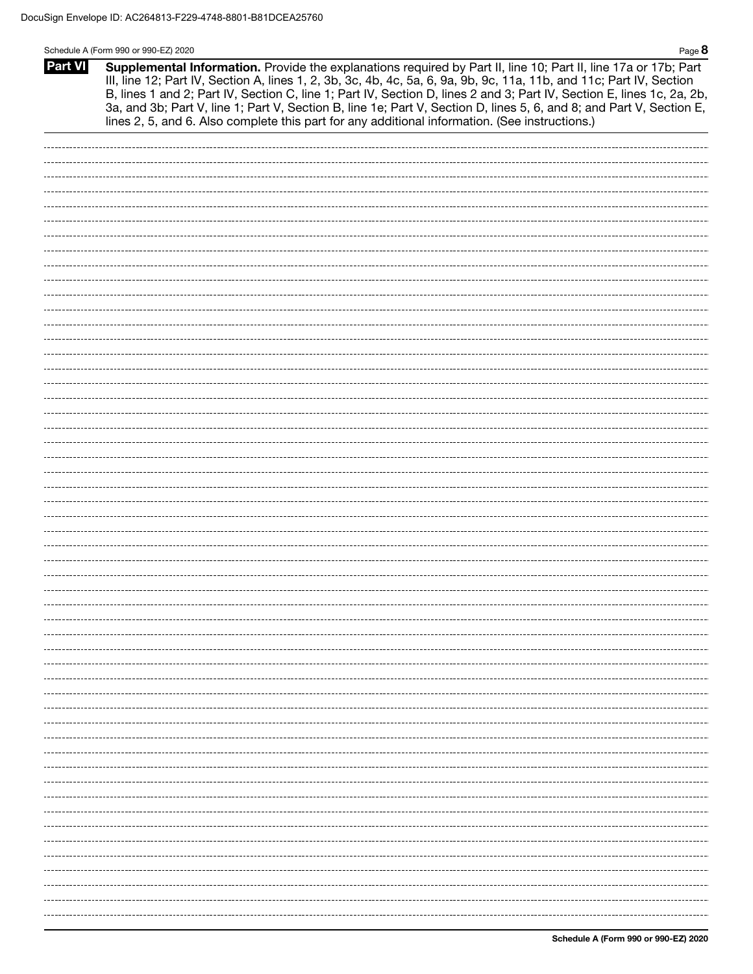Schedule A (Form 990 or 990-EZ) 2020  $P_{\text{age}} 8$ 

Part VI Supplemental Information. Provide the explanations required by Part II, line 10; Part II, line 17a or 17b; Part III, line 12; Part IV, Section A, lines 1, 2, 3b, 3c, 4b, 4c, 5a, 6, 9a, 9b, 9c, 11a, 11b, and 11c; Part IV, Section B, lines 1 and 2; Part IV, Section C, line 1; Part IV, Section D, lines 2 and 3; Part IV, Section E, lines 1c, 2a, 2b, 3a, and 3b; Part V, line 1; Part V, Section B, line 1e; Part V, Section D, lines 5, 6, and 8; and Part V, Section E, lines 2, 5, and 6. Also complete this part for any additional information. (See instructions.)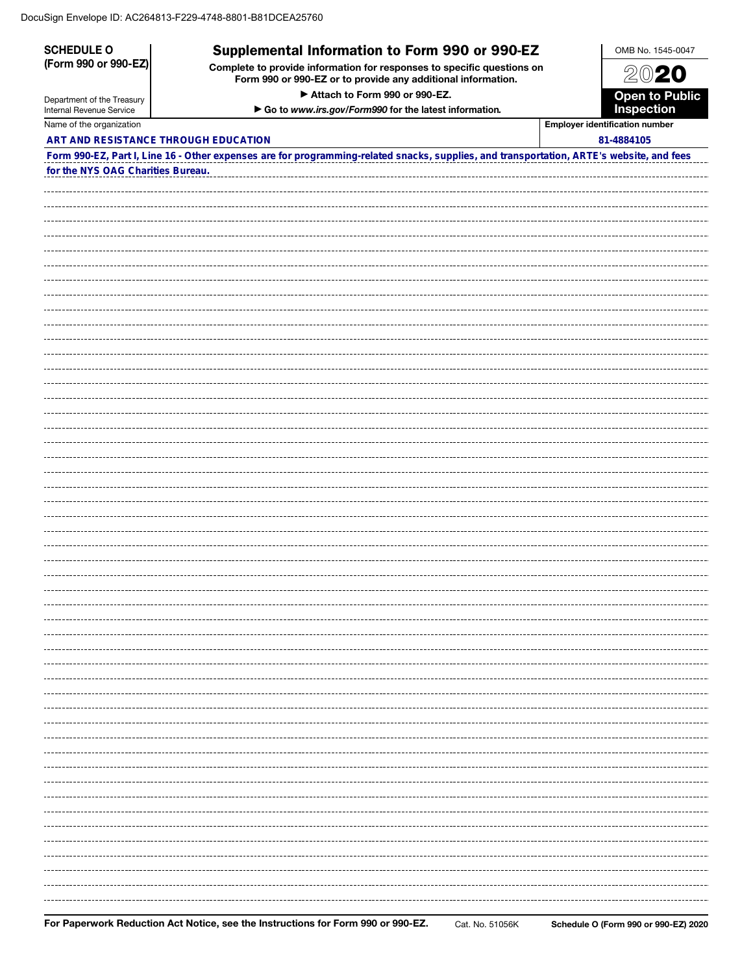SCHEDULE O (Form 990 or 990-EZ)

Department of the Treasury Internal Revenue Service

| <b>Supplemental Information to Form 990 or 990-EZ</b> |  |  |  |  |
|-------------------------------------------------------|--|--|--|--|
|-------------------------------------------------------|--|--|--|--|

Complete to provide information for responses to specific questions on Form 990 or 990-EZ or to provide any additional information.

▶ Attach to Form 990 or 990-EZ.

▶ Go to *www.irs.gov/Form990* for the latest information*.*



| Name of the organization                                                                                                                 | <b>Employer identification number</b> |
|------------------------------------------------------------------------------------------------------------------------------------------|---------------------------------------|
| ART AND RESISTANCE THROUGH EDUCATION                                                                                                     | 81-4884105                            |
| Form 990-EZ, Part I, Line 16 - Other expenses are for programming-related snacks, supplies, and transportation, ARTE's website, and fees |                                       |
| for the NYS OAG Charities Bureau.                                                                                                        |                                       |
|                                                                                                                                          |                                       |
|                                                                                                                                          |                                       |
|                                                                                                                                          |                                       |
|                                                                                                                                          |                                       |
|                                                                                                                                          |                                       |
|                                                                                                                                          |                                       |
|                                                                                                                                          |                                       |
|                                                                                                                                          |                                       |
|                                                                                                                                          |                                       |
|                                                                                                                                          |                                       |
|                                                                                                                                          |                                       |
|                                                                                                                                          |                                       |
|                                                                                                                                          |                                       |
|                                                                                                                                          |                                       |
|                                                                                                                                          |                                       |
|                                                                                                                                          |                                       |
|                                                                                                                                          |                                       |
|                                                                                                                                          |                                       |
|                                                                                                                                          |                                       |
|                                                                                                                                          |                                       |
|                                                                                                                                          |                                       |
|                                                                                                                                          |                                       |
|                                                                                                                                          |                                       |
|                                                                                                                                          |                                       |
|                                                                                                                                          |                                       |
|                                                                                                                                          |                                       |
|                                                                                                                                          |                                       |
|                                                                                                                                          |                                       |
|                                                                                                                                          |                                       |
|                                                                                                                                          |                                       |
|                                                                                                                                          |                                       |
|                                                                                                                                          |                                       |
|                                                                                                                                          |                                       |
|                                                                                                                                          |                                       |
|                                                                                                                                          |                                       |
|                                                                                                                                          |                                       |
|                                                                                                                                          |                                       |
|                                                                                                                                          |                                       |
|                                                                                                                                          |                                       |
|                                                                                                                                          |                                       |
|                                                                                                                                          |                                       |
|                                                                                                                                          |                                       |
|                                                                                                                                          |                                       |
|                                                                                                                                          |                                       |
|                                                                                                                                          |                                       |
|                                                                                                                                          |                                       |
|                                                                                                                                          |                                       |
|                                                                                                                                          |                                       |
|                                                                                                                                          |                                       |
|                                                                                                                                          |                                       |
|                                                                                                                                          |                                       |
|                                                                                                                                          |                                       |
|                                                                                                                                          |                                       |

For Paperwork Reduction Act Notice, see the Instructions for Form 990 or 990-EZ. Cat. No. 51056K Schedule O (Form 990 or 990-EZ) 2020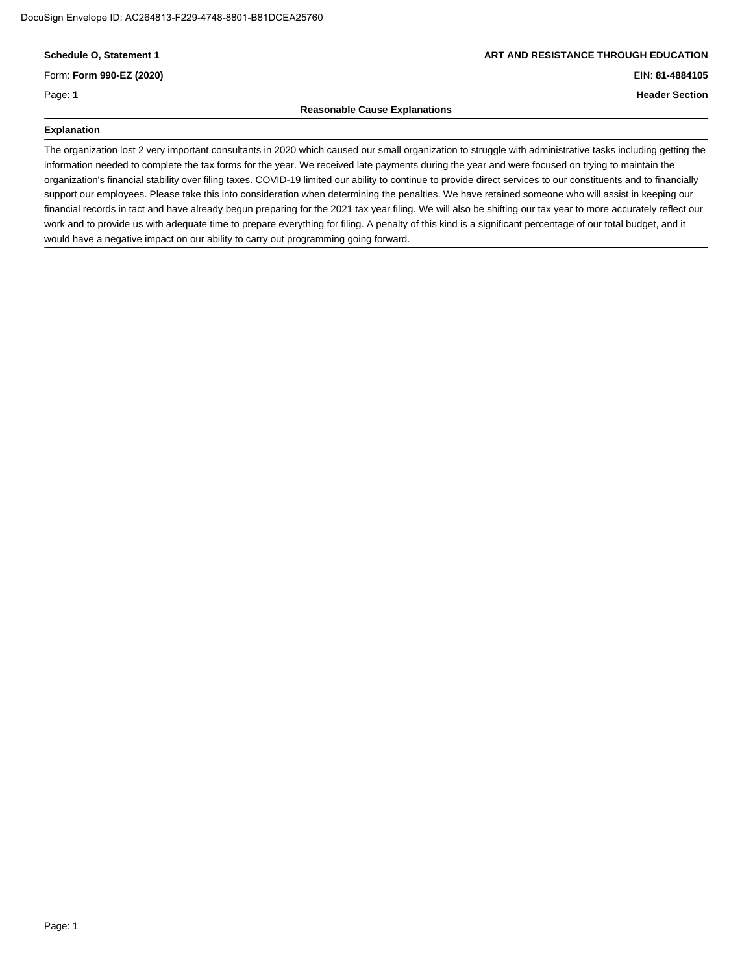\_

\_

\_

**Reasonable Cause Explanations**

## **Schedule O, Statement 1 ART AND RESISTANCE THROUGH EDUCATION**

Page: **1 Header Section**

### **Explanation**

The organization lost 2 very important consultants in 2020 which caused our small organization to struggle with administrative tasks including getting the information needed to complete the tax forms for the year. We received late payments during the year and were focused on trying to maintain the organization's financial stability over filing taxes. COVID-19 limited our ability to continue to provide direct services to our constituents and to financially support our employees. Please take this into consideration when determining the penalties. We have retained someone who will assist in keeping our financial records in tact and have already begun preparing for the 2021 tax year filing. We will also be shifting our tax year to more accurately reflect our work and to provide us with adequate time to prepare everything for filing. A penalty of this kind is a significant percentage of our total budget, and it would have a negative impact on our ability to carry out programming going forward.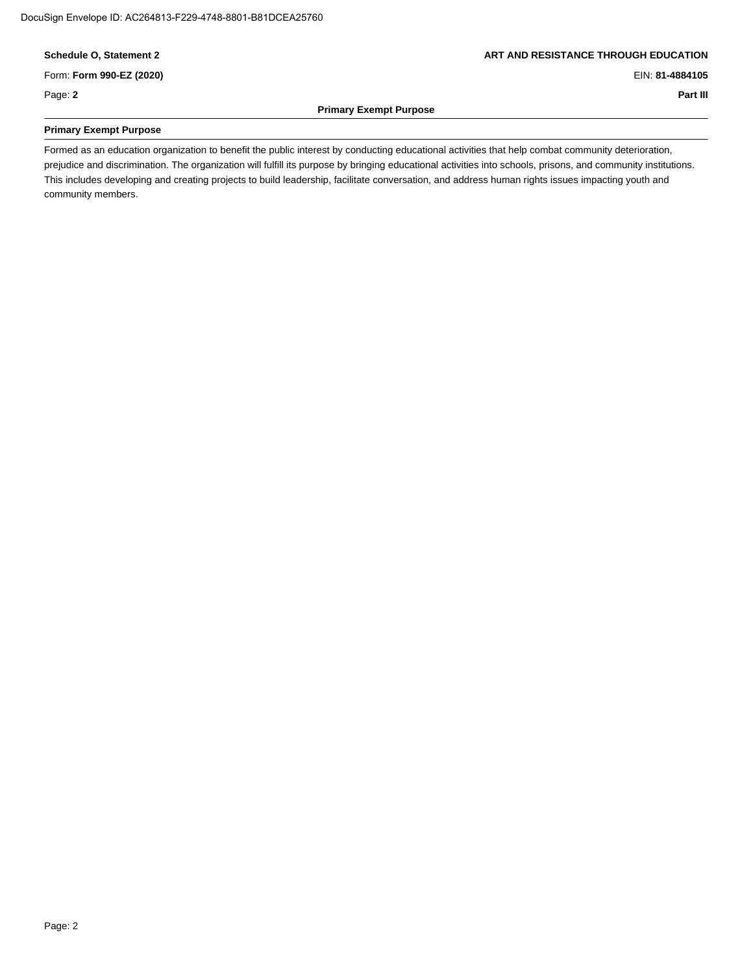Page: **2 Part III**

\_

### **Primary Exempt Purpose**

### **Primary Exempt Purpose** \_

Formed as an education organization to benefit the public interest by conducting educational activities that help combat community deterioration, prejudice and discrimination. The organization will fulfill its purpose by bringing educational activities into schools, prisons, and community institutions. This includes developing and creating projects to build leadership, facilitate conversation, and address human rights issues impacting youth and community members.

### **Schedule O, Statement 2 ART AND RESISTANCE THROUGH EDUCATION**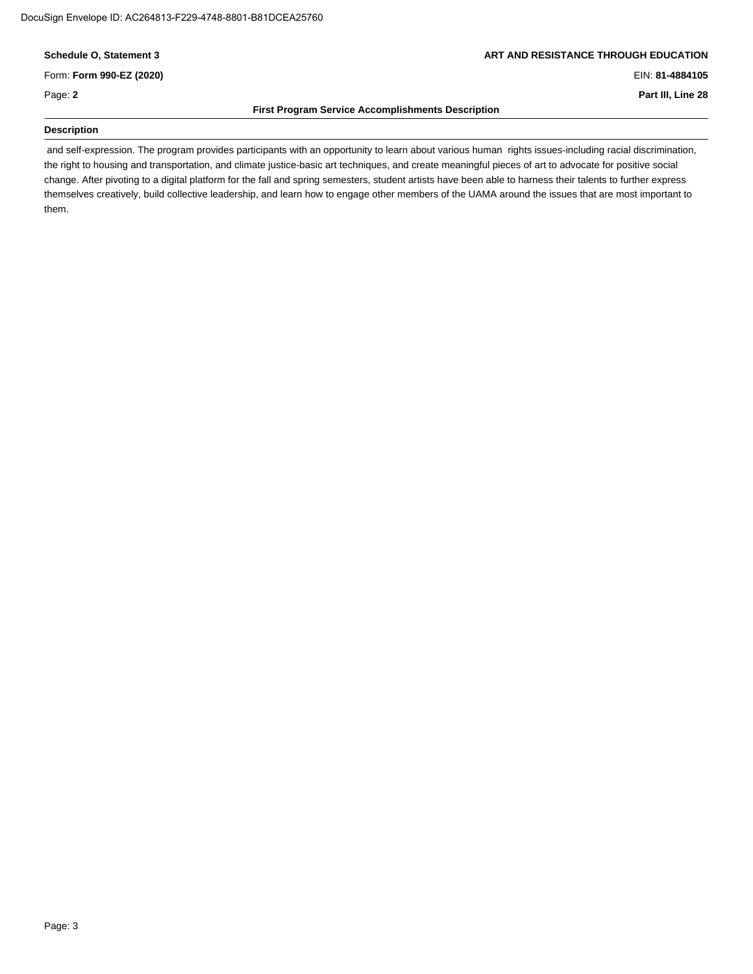\_

### **Schedule O, Statement 3 ART AND RESISTANCE THROUGH EDUCATION**

Page: **2 Part III, Line 28**

### **First Program Service Accomplishments Description**

### **Description** \_

 and self-expression. The program provides participants with an opportunity to learn about various human rights issues-including racial discrimination, the right to housing and transportation, and climate justice-basic art techniques, and create meaningful pieces of art to advocate for positive social change. After pivoting to a digital platform for the fall and spring semesters, student artists have been able to harness their talents to further express themselves creatively, build collective leadership, and learn how to engage other members of the UAMA around the issues that are most important to them.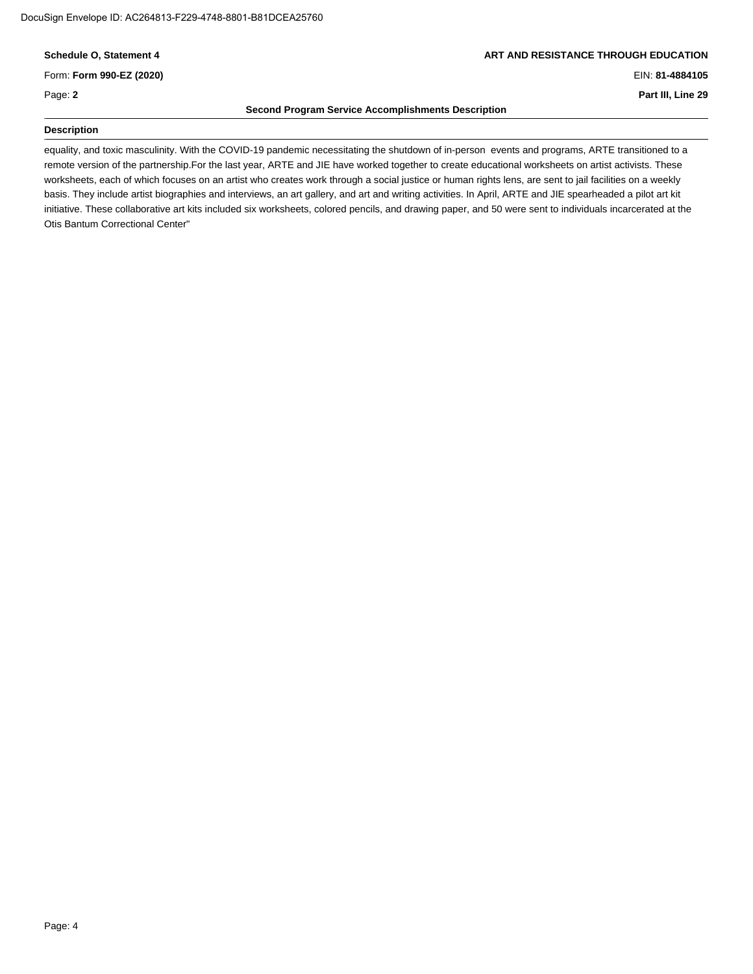\_

\_

### **Schedule O, Statement 4 ART AND RESISTANCE THROUGH EDUCATION**

Page: **2 Part III, Line 29**

### **Description**

equality, and toxic masculinity. With the COVID-19 pandemic necessitating the shutdown of in-person events and programs, ARTE transitioned to a remote version of the partnership.For the last year, ARTE and JIE have worked together to create educational worksheets on artist activists. These worksheets, each of which focuses on an artist who creates work through a social justice or human rights lens, are sent to jail facilities on a weekly basis. They include artist biographies and interviews, an art gallery, and art and writing activities. In April, ARTE and JIE spearheaded a pilot art kit initiative. These collaborative art kits included six worksheets, colored pencils, and drawing paper, and 50 were sent to individuals incarcerated at the Otis Bantum Correctional Center"

**Second Program Service Accomplishments Description**